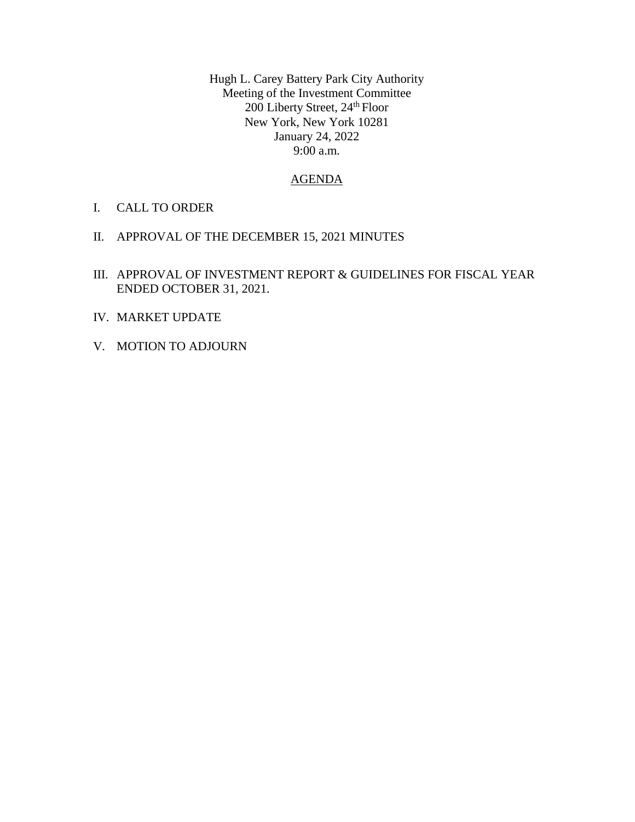Hugh L. Carey Battery Park City Authority Meeting of the Investment Committee 200 Liberty Street, 24<sup>th</sup> Floor New York, New York 10281 January 24, 2022 9:00 a.m.

## AGENDA

- I. CALL TO ORDER
- II. APPROVAL OF THE DECEMBER 15, 2021 MINUTES
- III. APPROVAL OF INVESTMENT REPORT & GUIDELINES FOR FISCAL YEAR ENDED OCTOBER 31, 2021.
- IV. MARKET UPDATE
- V. MOTION TO ADJOURN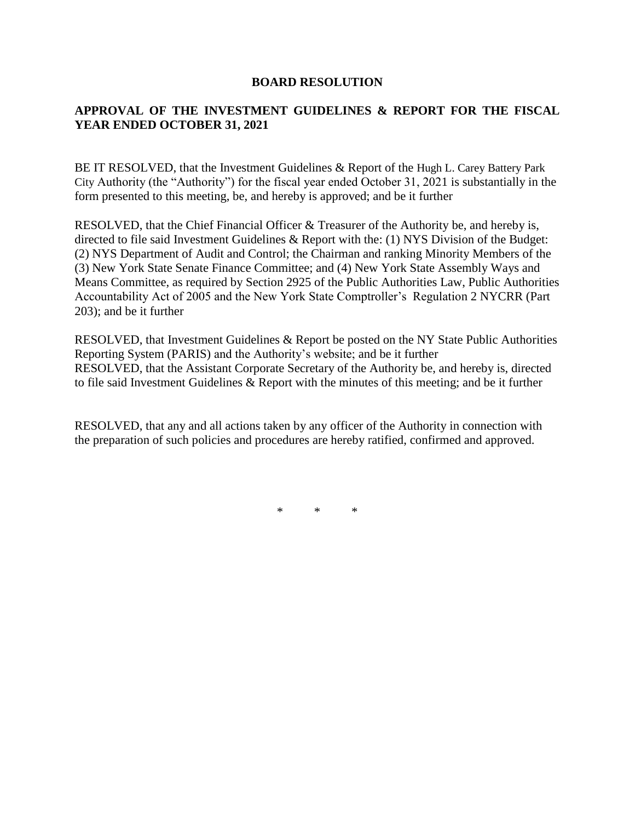## **BOARD RESOLUTION**

# **APPROVAL OF THE INVESTMENT GUIDELINES & REPORT FOR THE FISCAL YEAR ENDED OCTOBER 31, 2021**

BE IT RESOLVED, that the Investment Guidelines & Report of the Hugh L. Carey Battery Park City Authority (the "Authority") for the fiscal year ended October 31, 2021 is substantially in the form presented to this meeting, be, and hereby is approved; and be it further

RESOLVED, that the Chief Financial Officer & Treasurer of the Authority be, and hereby is, directed to file said Investment Guidelines & Report with the: (1) NYS Division of the Budget: (2) NYS Department of Audit and Control; the Chairman and ranking Minority Members of the (3) New York State Senate Finance Committee; and (4) New York State Assembly Ways and Means Committee, as required by Section 2925 of the Public Authorities Law, Public Authorities Accountability Act of 2005 and the New York State Comptroller's Regulation 2 NYCRR (Part 203); and be it further

RESOLVED, that Investment Guidelines & Report be posted on the NY State Public Authorities Reporting System (PARIS) and the Authority's website; and be it further RESOLVED, that the Assistant Corporate Secretary of the Authority be, and hereby is, directed to file said Investment Guidelines & Report with the minutes of this meeting; and be it further

RESOLVED, that any and all actions taken by any officer of the Authority in connection with the preparation of such policies and procedures are hereby ratified, confirmed and approved.

\* \* \*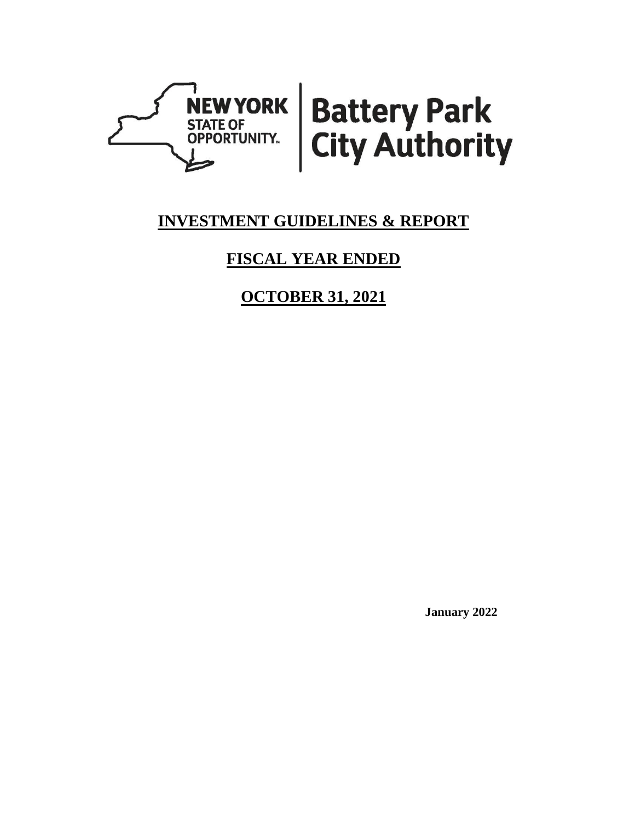

# **INVESTMENT GUIDELINES & REPORT**

# **FISCAL YEAR ENDED**

**OCTOBER 31, 2021**

**January 2022**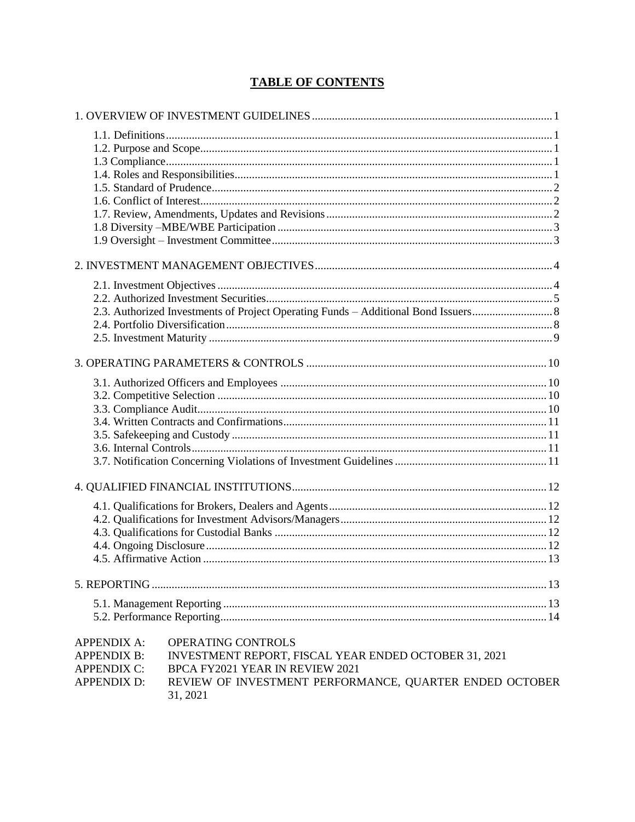# **TABLE OF CONTENTS**

| <b>APPENDIX A:</b> | OPERATING CONTROLS                                                  |  |
|--------------------|---------------------------------------------------------------------|--|
| <b>APPENDIX B:</b> | INVESTMENT REPORT, FISCAL YEAR ENDED OCTOBER 31, 2021               |  |
| <b>APPENDIX C:</b> | BPCA FY2021 YEAR IN REVIEW 2021                                     |  |
| <b>APPENDIX D:</b> | REVIEW OF INVESTMENT PERFORMANCE, QUARTER ENDED OCTOBER<br>31, 2021 |  |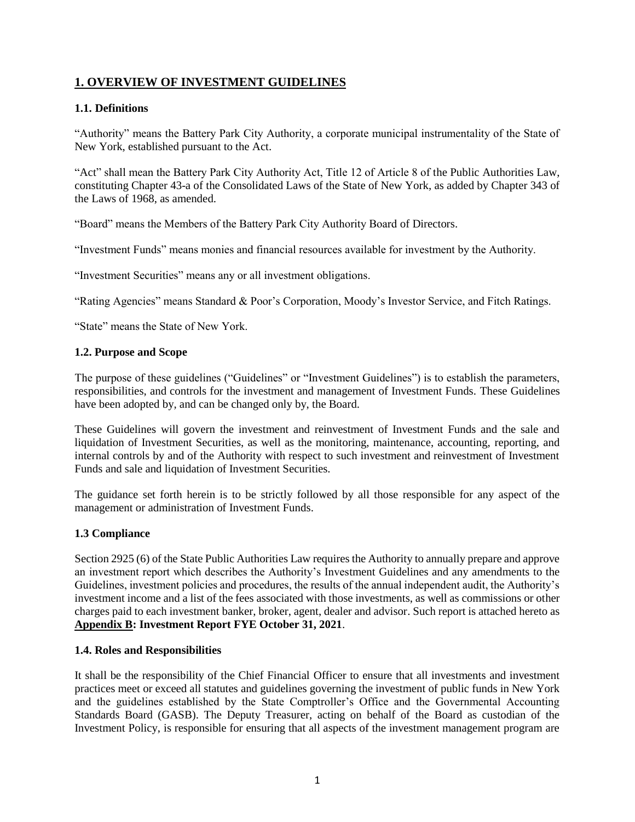# <span id="page-4-0"></span>**1. OVERVIEW OF INVESTMENT GUIDELINES**

## <span id="page-4-1"></span>**1.1. Definitions**

"Authority" means the Battery Park City Authority, a corporate municipal instrumentality of the State of New York, established pursuant to the Act.

"Act" shall mean the Battery Park City Authority Act, Title 12 of Article 8 of the Public Authorities Law, constituting Chapter 43-a of the Consolidated Laws of the State of New York, as added by Chapter 343 of the Laws of 1968, as amended.

"Board" means the Members of the Battery Park City Authority Board of Directors.

"Investment Funds" means monies and financial resources available for investment by the Authority.

"Investment Securities" means any or all investment obligations.

"Rating Agencies" means Standard & Poor's Corporation, Moody's Investor Service, and Fitch Ratings.

"State" means the State of New York.

#### <span id="page-4-2"></span>**1.2. Purpose and Scope**

The purpose of these guidelines ("Guidelines" or "Investment Guidelines") is to establish the parameters, responsibilities, and controls for the investment and management of Investment Funds. These Guidelines have been adopted by, and can be changed only by, the Board.

These Guidelines will govern the investment and reinvestment of Investment Funds and the sale and liquidation of Investment Securities, as well as the monitoring, maintenance, accounting, reporting, and internal controls by and of the Authority with respect to such investment and reinvestment of Investment Funds and sale and liquidation of Investment Securities.

The guidance set forth herein is to be strictly followed by all those responsible for any aspect of the management or administration of Investment Funds.

## <span id="page-4-3"></span>**1.3 Compliance**

Section 2925 (6) of the State Public Authorities Law requires the Authority to annually prepare and approve an investment report which describes the Authority's Investment Guidelines and any amendments to the Guidelines, investment policies and procedures, the results of the annual independent audit, the Authority's investment income and a list of the fees associated with those investments, as well as commissions or other charges paid to each investment banker, broker, agent, dealer and advisor. Such report is attached hereto as **Appendix B: Investment Report FYE October 31, 2021**.

## <span id="page-4-4"></span>**1.4. Roles and Responsibilities**

It shall be the responsibility of the Chief Financial Officer to ensure that all investments and investment practices meet or exceed all statutes and guidelines governing the investment of public funds in New York and the guidelines established by the State Comptroller's Office and the Governmental Accounting Standards Board (GASB). The Deputy Treasurer, acting on behalf of the Board as custodian of the Investment Policy, is responsible for ensuring that all aspects of the investment management program are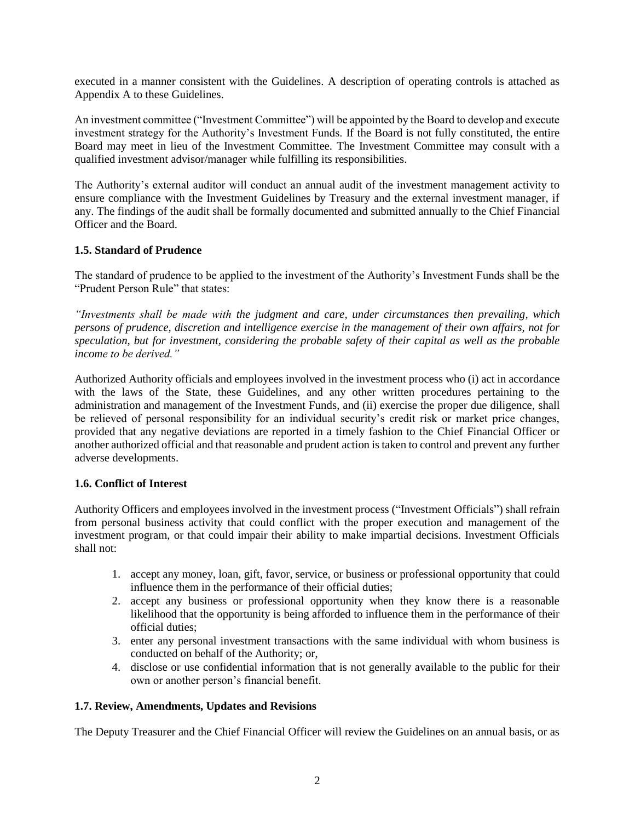executed in a manner consistent with the Guidelines. A description of operating controls is attached as Appendix A to these Guidelines.

An investment committee ("Investment Committee") will be appointed by the Board to develop and execute investment strategy for the Authority's Investment Funds. If the Board is not fully constituted, the entire Board may meet in lieu of the Investment Committee. The Investment Committee may consult with a qualified investment advisor/manager while fulfilling its responsibilities.

The Authority's external auditor will conduct an annual audit of the investment management activity to ensure compliance with the Investment Guidelines by Treasury and the external investment manager, if any. The findings of the audit shall be formally documented and submitted annually to the Chief Financial Officer and the Board.

## <span id="page-5-0"></span>**1.5. Standard of Prudence**

The standard of prudence to be applied to the investment of the Authority's Investment Funds shall be the "Prudent Person Rule" that states:

*"Investments shall be made with the judgment and care, under circumstances then prevailing, which persons of prudence, discretion and intelligence exercise in the management of their own affairs, not for speculation, but for investment, considering the probable safety of their capital as well as the probable income to be derived."*

Authorized Authority officials and employees involved in the investment process who (i) act in accordance with the laws of the State, these Guidelines, and any other written procedures pertaining to the administration and management of the Investment Funds, and (ii) exercise the proper due diligence, shall be relieved of personal responsibility for an individual security's credit risk or market price changes, provided that any negative deviations are reported in a timely fashion to the Chief Financial Officer or another authorized official and that reasonable and prudent action is taken to control and prevent any further adverse developments.

#### <span id="page-5-1"></span>**1.6. Conflict of Interest**

Authority Officers and employees involved in the investment process ("Investment Officials") shall refrain from personal business activity that could conflict with the proper execution and management of the investment program, or that could impair their ability to make impartial decisions. Investment Officials shall not:

- 1. accept any money, loan, gift, favor, service, or business or professional opportunity that could influence them in the performance of their official duties;
- 2. accept any business or professional opportunity when they know there is a reasonable likelihood that the opportunity is being afforded to influence them in the performance of their official duties;
- 3. enter any personal investment transactions with the same individual with whom business is conducted on behalf of the Authority; or,
- 4. disclose or use confidential information that is not generally available to the public for their own or another person's financial benefit.

#### <span id="page-5-2"></span>**1.7. Review, Amendments, Updates and Revisions**

The Deputy Treasurer and the Chief Financial Officer will review the Guidelines on an annual basis, or as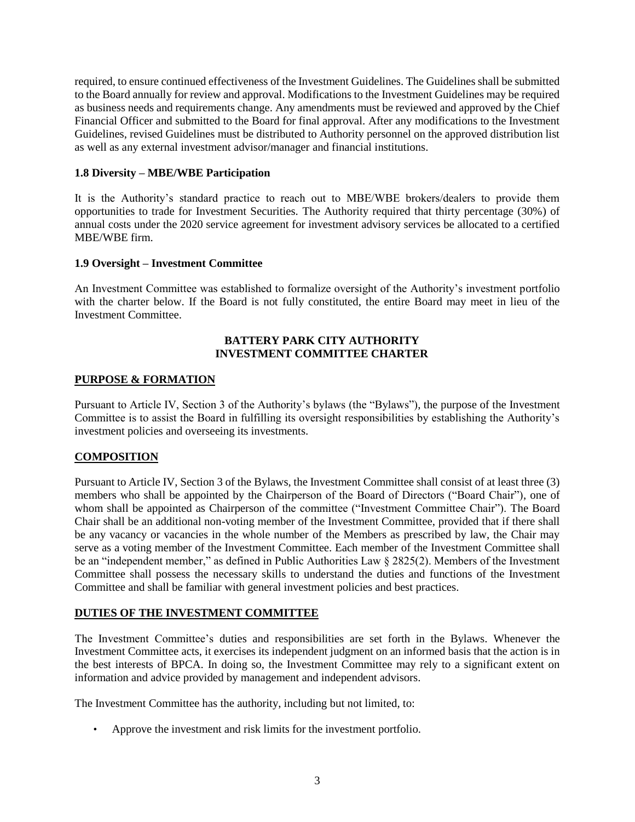required, to ensure continued effectiveness of the Investment Guidelines. The Guidelines shall be submitted to the Board annually for review and approval. Modifications to the Investment Guidelines may be required as business needs and requirements change. Any amendments must be reviewed and approved by the Chief Financial Officer and submitted to the Board for final approval. After any modifications to the Investment Guidelines, revised Guidelines must be distributed to Authority personnel on the approved distribution list as well as any external investment advisor/manager and financial institutions.

## <span id="page-6-0"></span>**1.8 Diversity – MBE/WBE Participation**

It is the Authority's standard practice to reach out to MBE/WBE brokers/dealers to provide them opportunities to trade for Investment Securities. The Authority required that thirty percentage (30%) of annual costs under the 2020 service agreement for investment advisory services be allocated to a certified MBE/WBE firm.

## <span id="page-6-1"></span>**1.9 Oversight – Investment Committee**

An Investment Committee was established to formalize oversight of the Authority's investment portfolio with the charter below. If the Board is not fully constituted, the entire Board may meet in lieu of the Investment Committee.

#### **BATTERY PARK CITY AUTHORITY INVESTMENT COMMITTEE CHARTER**

## **PURPOSE & FORMATION**

Pursuant to Article IV, Section 3 of the Authority's bylaws (the "Bylaws"), the purpose of the Investment Committee is to assist the Board in fulfilling its oversight responsibilities by establishing the Authority's investment policies and overseeing its investments.

## **COMPOSITION**

Pursuant to Article IV, Section 3 of the Bylaws, the Investment Committee shall consist of at least three (3) members who shall be appointed by the Chairperson of the Board of Directors ("Board Chair"), one of whom shall be appointed as Chairperson of the committee ("Investment Committee Chair"). The Board Chair shall be an additional non-voting member of the Investment Committee, provided that if there shall be any vacancy or vacancies in the whole number of the Members as prescribed by law, the Chair may serve as a voting member of the Investment Committee. Each member of the Investment Committee shall be an "independent member," as defined in Public Authorities Law § 2825(2). Members of the Investment Committee shall possess the necessary skills to understand the duties and functions of the Investment Committee and shall be familiar with general investment policies and best practices.

## **DUTIES OF THE INVESTMENT COMMITTEE**

The Investment Committee's duties and responsibilities are set forth in the Bylaws. Whenever the Investment Committee acts, it exercises its independent judgment on an informed basis that the action is in the best interests of BPCA. In doing so, the Investment Committee may rely to a significant extent on information and advice provided by management and independent advisors.

The Investment Committee has the authority, including but not limited, to:

• Approve the investment and risk limits for the investment portfolio.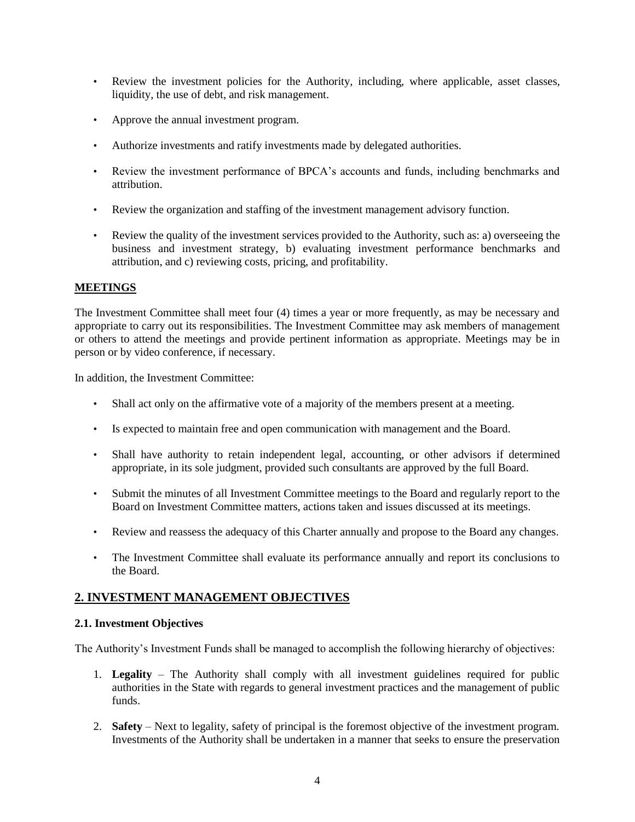- Review the investment policies for the Authority, including, where applicable, asset classes, liquidity, the use of debt, and risk management.
- Approve the annual investment program.
- Authorize investments and ratify investments made by delegated authorities.
- Review the investment performance of BPCA's accounts and funds, including benchmarks and attribution.
- Review the organization and staffing of the investment management advisory function.
- Review the quality of the investment services provided to the Authority, such as: a) overseeing the business and investment strategy, b) evaluating investment performance benchmarks and attribution, and c) reviewing costs, pricing, and profitability.

## **MEETINGS**

The Investment Committee shall meet four (4) times a year or more frequently, as may be necessary and appropriate to carry out its responsibilities. The Investment Committee may ask members of management or others to attend the meetings and provide pertinent information as appropriate. Meetings may be in person or by video conference, if necessary.

In addition, the Investment Committee:

- Shall act only on the affirmative vote of a majority of the members present at a meeting.
- Is expected to maintain free and open communication with management and the Board.
- Shall have authority to retain independent legal, accounting, or other advisors if determined appropriate, in its sole judgment, provided such consultants are approved by the full Board.
- Submit the minutes of all Investment Committee meetings to the Board and regularly report to the Board on Investment Committee matters, actions taken and issues discussed at its meetings.
- Review and reassess the adequacy of this Charter annually and propose to the Board any changes.
- The Investment Committee shall evaluate its performance annually and report its conclusions to the Board.

# <span id="page-7-0"></span>**2. INVESTMENT MANAGEMENT OBJECTIVES**

#### <span id="page-7-1"></span>**2.1. Investment Objectives**

The Authority's Investment Funds shall be managed to accomplish the following hierarchy of objectives:

- 1. **Legality** The Authority shall comply with all investment guidelines required for public authorities in the State with regards to general investment practices and the management of public funds.
- 2. **Safety** Next to legality, safety of principal is the foremost objective of the investment program. Investments of the Authority shall be undertaken in a manner that seeks to ensure the preservation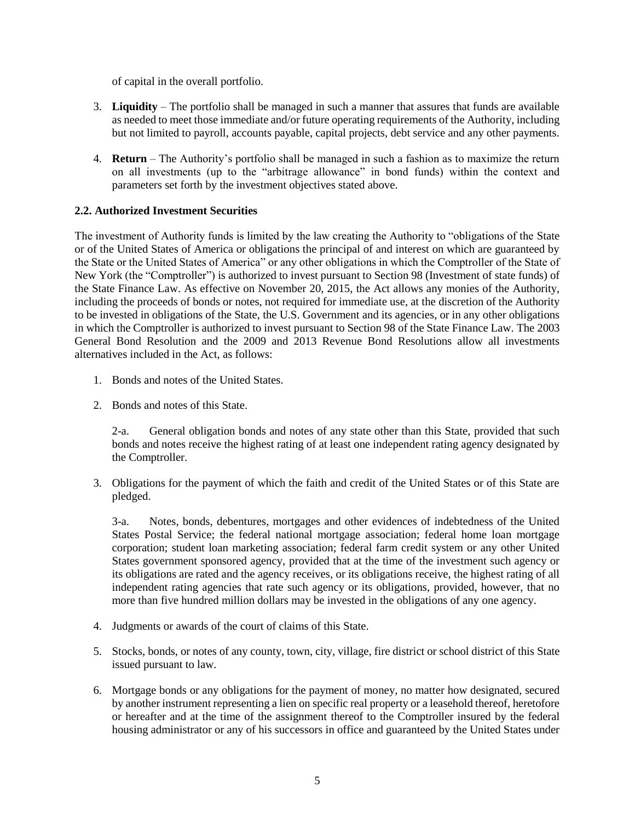of capital in the overall portfolio.

- 3. **Liquidity** The portfolio shall be managed in such a manner that assures that funds are available as needed to meet those immediate and/or future operating requirements of the Authority, including but not limited to payroll, accounts payable, capital projects, debt service and any other payments.
- 4. **Return** The Authority's portfolio shall be managed in such a fashion as to maximize the return on all investments (up to the "arbitrage allowance" in bond funds) within the context and parameters set forth by the investment objectives stated above.

## <span id="page-8-0"></span>**2.2. Authorized Investment Securities**

The investment of Authority funds is limited by the law creating the Authority to "obligations of the State or of the United States of America or obligations the principal of and interest on which are guaranteed by the State or the United States of America" or any other obligations in which the Comptroller of the State of New York (the "Comptroller") is authorized to invest pursuant to Section 98 (Investment of state funds) of the State Finance Law. As effective on November 20, 2015, the Act allows any monies of the Authority, including the proceeds of bonds or notes, not required for immediate use, at the discretion of the Authority to be invested in obligations of the State, the U.S. Government and its agencies, or in any other obligations in which the Comptroller is authorized to invest pursuant to Section 98 of the State Finance Law. The 2003 General Bond Resolution and the 2009 and 2013 Revenue Bond Resolutions allow all investments alternatives included in the Act, as follows:

- 1. Bonds and notes of the United States.
- 2. Bonds and notes of this State.

2-a. General obligation bonds and notes of any state other than this State, provided that such bonds and notes receive the highest rating of at least one independent rating agency designated by the Comptroller.

3. Obligations for the payment of which the faith and credit of the United States or of this State are pledged.

3-a. Notes, bonds, debentures, mortgages and other evidences of indebtedness of the United States Postal Service; the federal national mortgage association; federal home loan mortgage corporation; student loan marketing association; federal farm credit system or any other United States government sponsored agency, provided that at the time of the investment such agency or its obligations are rated and the agency receives, or its obligations receive, the highest rating of all independent rating agencies that rate such agency or its obligations, provided, however, that no more than five hundred million dollars may be invested in the obligations of any one agency.

- 4. Judgments or awards of the court of claims of this State.
- 5. Stocks, bonds, or notes of any county, town, city, village, fire district or school district of this State issued pursuant to law.
- 6. Mortgage bonds or any obligations for the payment of money, no matter how designated, secured by another instrument representing a lien on specific real property or a leasehold thereof, heretofore or hereafter and at the time of the assignment thereof to the Comptroller insured by the federal housing administrator or any of his successors in office and guaranteed by the United States under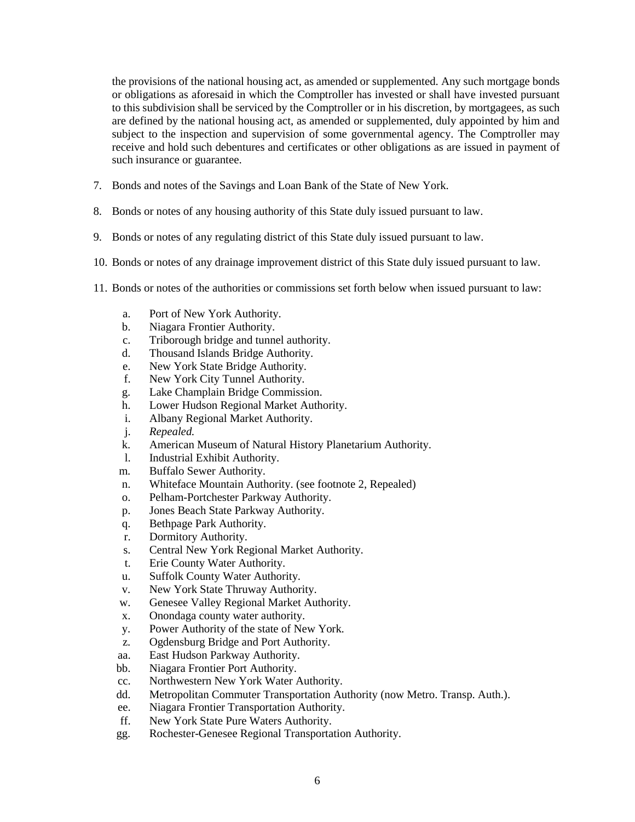the provisions of the national housing act, as amended or supplemented. Any such mortgage bonds or obligations as aforesaid in which the Comptroller has invested or shall have invested pursuant to this subdivision shall be serviced by the Comptroller or in his discretion, by mortgagees, as such are defined by the national housing act, as amended or supplemented, duly appointed by him and subject to the inspection and supervision of some governmental agency. The Comptroller may receive and hold such debentures and certificates or other obligations as are issued in payment of such insurance or guarantee.

- 7. Bonds and notes of the Savings and Loan Bank of the State of New York.
- 8. Bonds or notes of any housing authority of this State duly issued pursuant to law.
- 9. Bonds or notes of any regulating district of this State duly issued pursuant to law.
- 10. Bonds or notes of any drainage improvement district of this State duly issued pursuant to law.
- 11. Bonds or notes of the authorities or commissions set forth below when issued pursuant to law:
	- a. Port of New York Authority.
	- b. Niagara Frontier Authority.
	- c. Triborough bridge and tunnel authority.
	- d. Thousand Islands Bridge Authority.
	- e. New York State Bridge Authority.
	- f. New York City Tunnel Authority.
	- g. Lake Champlain Bridge Commission.
	- h. Lower Hudson Regional Market Authority.
	- i. Albany Regional Market Authority.
	- j. *Repealed.*
	- k. American Museum of Natural History Planetarium Authority.
	- l. Industrial Exhibit Authority.
	- m. Buffalo Sewer Authority.
	- n. Whiteface Mountain Authority. (see footnote 2, Repealed)
	- o. Pelham-Portchester Parkway Authority.
	- p. Jones Beach State Parkway Authority.
	- q. Bethpage Park Authority.
	- r. Dormitory Authority.
	- s. Central New York Regional Market Authority.
	- t. Erie County Water Authority.
	- u. Suffolk County Water Authority.
	- v. New York State Thruway Authority.
	- w. Genesee Valley Regional Market Authority.
	- x. Onondaga county water authority.
	- y. Power Authority of the state of New York.
	- z. Ogdensburg Bridge and Port Authority.
	- aa. East Hudson Parkway Authority.
	- bb. Niagara Frontier Port Authority.
	- cc. Northwestern New York Water Authority.
	- dd. Metropolitan Commuter Transportation Authority (now Metro. Transp. Auth.).
	- ee. Niagara Frontier Transportation Authority.
	- ff. New York State Pure Waters Authority.
	- gg. Rochester-Genesee Regional Transportation Authority.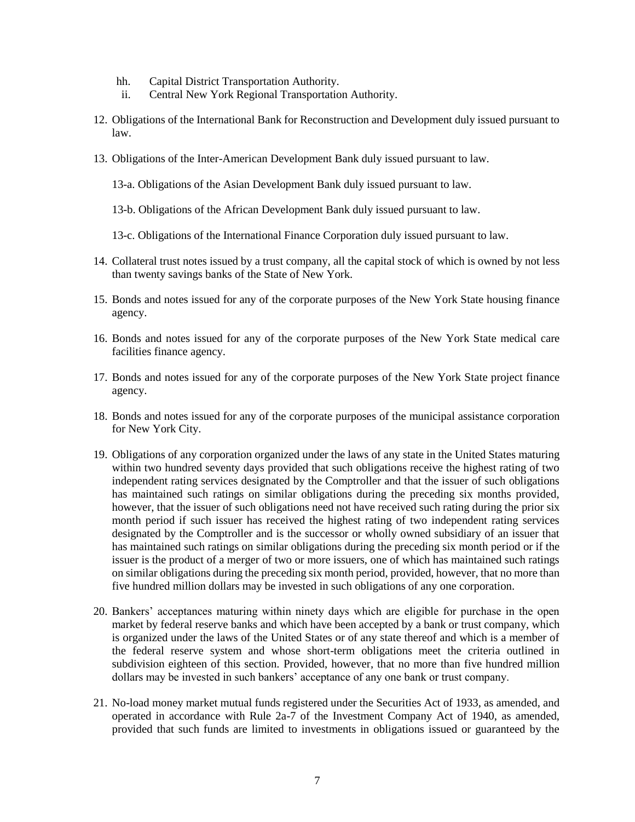- hh. Capital District Transportation Authority.
- ii. Central New York Regional Transportation Authority.
- 12. Obligations of the International Bank for Reconstruction and Development duly issued pursuant to law.
- 13. Obligations of the Inter-American Development Bank duly issued pursuant to law.
	- 13-a. Obligations of the Asian Development Bank duly issued pursuant to law.
	- 13-b. Obligations of the African Development Bank duly issued pursuant to law.
	- 13-c. Obligations of the International Finance Corporation duly issued pursuant to law.
- 14. Collateral trust notes issued by a trust company, all the capital stock of which is owned by not less than twenty savings banks of the State of New York.
- 15. Bonds and notes issued for any of the corporate purposes of the New York State housing finance agency.
- 16. Bonds and notes issued for any of the corporate purposes of the New York State medical care facilities finance agency.
- 17. Bonds and notes issued for any of the corporate purposes of the New York State project finance agency.
- 18. Bonds and notes issued for any of the corporate purposes of the municipal assistance corporation for New York City.
- 19. Obligations of any corporation organized under the laws of any state in the United States maturing within two hundred seventy days provided that such obligations receive the highest rating of two independent rating services designated by the Comptroller and that the issuer of such obligations has maintained such ratings on similar obligations during the preceding six months provided, however, that the issuer of such obligations need not have received such rating during the prior six month period if such issuer has received the highest rating of two independent rating services designated by the Comptroller and is the successor or wholly owned subsidiary of an issuer that has maintained such ratings on similar obligations during the preceding six month period or if the issuer is the product of a merger of two or more issuers, one of which has maintained such ratings on similar obligations during the preceding six month period, provided, however, that no more than five hundred million dollars may be invested in such obligations of any one corporation.
- 20. Bankers' acceptances maturing within ninety days which are eligible for purchase in the open market by federal reserve banks and which have been accepted by a bank or trust company, which is organized under the laws of the United States or of any state thereof and which is a member of the federal reserve system and whose short-term obligations meet the criteria outlined in subdivision eighteen of this section. Provided, however, that no more than five hundred million dollars may be invested in such bankers' acceptance of any one bank or trust company.
- 21. No-load money market mutual funds registered under the Securities Act of 1933, as amended, and operated in accordance with Rule 2a-7 of the Investment Company Act of 1940, as amended, provided that such funds are limited to investments in obligations issued or guaranteed by the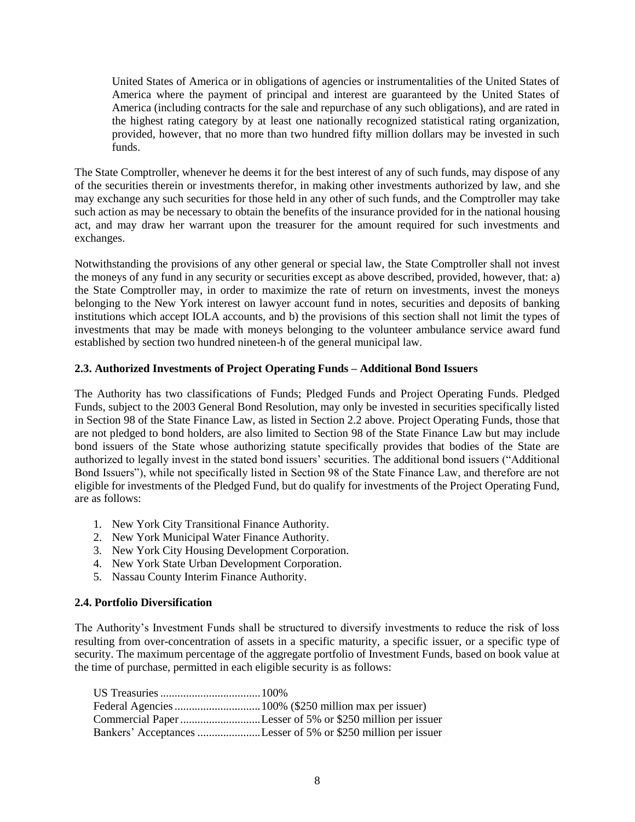United States of America or in obligations of agencies or instrumentalities of the United States of America where the payment of principal and interest are guaranteed by the United States of America (including contracts for the sale and repurchase of any such obligations), and are rated in the highest rating category by at least one nationally recognized statistical rating organization, provided, however, that no more than two hundred fifty million dollars may be invested in such funds.

The State Comptroller, whenever he deems it for the best interest of any of such funds, may dispose of any of the securities therein or investments therefor, in making other investments authorized by law, and she may exchange any such securities for those held in any other of such funds, and the Comptroller may take such action as may be necessary to obtain the benefits of the insurance provided for in the national housing act, and may draw her warrant upon the treasurer for the amount required for such investments and exchanges.

Notwithstanding the provisions of any other general or special law, the State Comptroller shall not invest the moneys of any fund in any security or securities except as above described, provided, however, that: a) the State Comptroller may, in order to maximize the rate of return on investments, invest the moneys belonging to the New York interest on lawyer account fund in notes, securities and deposits of banking institutions which accept IOLA accounts, and b) the provisions of this section shall not limit the types of investments that may be made with moneys belonging to the volunteer ambulance service award fund established by section two hundred nineteen-h of the general municipal law.

## <span id="page-11-0"></span>**2.3. Authorized Investments of Project Operating Funds – Additional Bond Issuers**

The Authority has two classifications of Funds; Pledged Funds and Project Operating Funds. Pledged Funds, subject to the 2003 General Bond Resolution, may only be invested in securities specifically listed in Section 98 of the State Finance Law, as listed in Section 2.2 above. Project Operating Funds, those that are not pledged to bond holders, are also limited to Section 98 of the State Finance Law but may include bond issuers of the State whose authorizing statute specifically provides that bodies of the State are authorized to legally invest in the stated bond issuers' securities. The additional bond issuers ("Additional Bond Issuers"), while not specifically listed in Section 98 of the State Finance Law, and therefore are not eligible for investments of the Pledged Fund, but do qualify for investments of the Project Operating Fund, are as follows:

- 1. New York City Transitional Finance Authority.
- 2. New York Municipal Water Finance Authority.
- 3. New York City Housing Development Corporation.
- 4. New York State Urban Development Corporation.
- 5. Nassau County Interim Finance Authority.

## <span id="page-11-1"></span>**2.4. Portfolio Diversification**

The Authority's Investment Funds shall be structured to diversify investments to reduce the risk of loss resulting from over-concentration of assets in a specific maturity, a specific issuer, or a specific type of security. The maximum percentage of the aggregate portfolio of Investment Funds, based on book value at the time of purchase, permitted in each eligible security is as follows:

| Commercial Paper Lesser of 5% or \$250 million per issuer     |
|---------------------------------------------------------------|
| Bankers' Acceptances Lesser of 5% or \$250 million per issuer |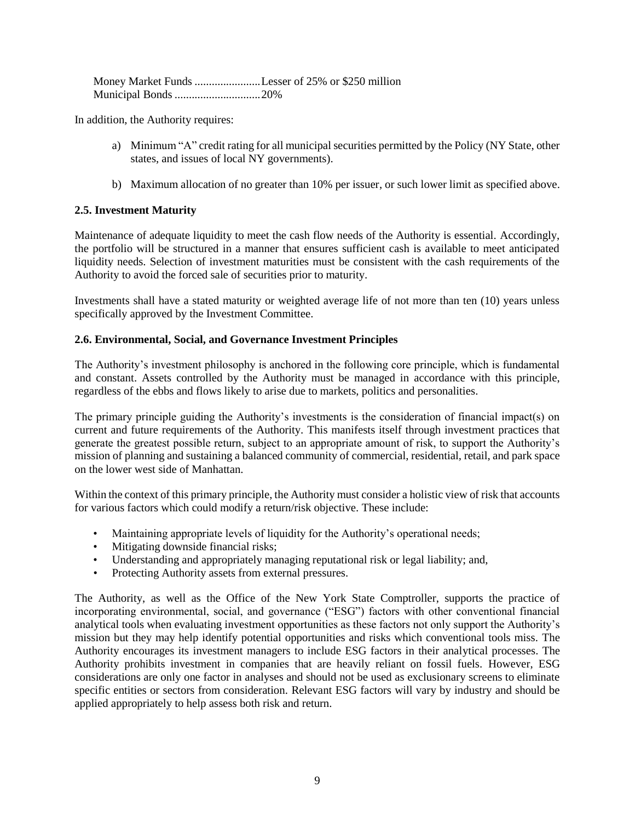| Money Market Funds Lesser of 25% or \$250 million |  |
|---------------------------------------------------|--|
|                                                   |  |

In addition, the Authority requires:

- a) Minimum "A" credit rating for all municipal securities permitted by the Policy (NY State, other states, and issues of local NY governments).
- b) Maximum allocation of no greater than 10% per issuer, or such lower limit as specified above.

## <span id="page-12-0"></span>**2.5. Investment Maturity**

Maintenance of adequate liquidity to meet the cash flow needs of the Authority is essential. Accordingly, the portfolio will be structured in a manner that ensures sufficient cash is available to meet anticipated liquidity needs. Selection of investment maturities must be consistent with the cash requirements of the Authority to avoid the forced sale of securities prior to maturity.

Investments shall have a stated maturity or weighted average life of not more than ten (10) years unless specifically approved by the Investment Committee.

## **2.6. Environmental, Social, and Governance Investment Principles**

The Authority's investment philosophy is anchored in the following core principle, which is fundamental and constant. Assets controlled by the Authority must be managed in accordance with this principle, regardless of the ebbs and flows likely to arise due to markets, politics and personalities.

The primary principle guiding the Authority's investments is the consideration of financial impact(s) on current and future requirements of the Authority. This manifests itself through investment practices that generate the greatest possible return, subject to an appropriate amount of risk, to support the Authority's mission of planning and sustaining a balanced community of commercial, residential, retail, and park space on the lower west side of Manhattan.

Within the context of this primary principle, the Authority must consider a holistic view of risk that accounts for various factors which could modify a return/risk objective. These include:

- Maintaining appropriate levels of liquidity for the Authority's operational needs;
- Mitigating downside financial risks;
- Understanding and appropriately managing reputational risk or legal liability; and,
- Protecting Authority assets from external pressures.

The Authority, as well as the Office of the New York State Comptroller, supports the practice of incorporating environmental, social, and governance ("ESG") factors with other conventional financial analytical tools when evaluating investment opportunities as these factors not only support the Authority's mission but they may help identify potential opportunities and risks which conventional tools miss. The Authority encourages its investment managers to include ESG factors in their analytical processes. The Authority prohibits investment in companies that are heavily reliant on fossil fuels. However, ESG considerations are only one factor in analyses and should not be used as exclusionary screens to eliminate specific entities or sectors from consideration. Relevant ESG factors will vary by industry and should be applied appropriately to help assess both risk and return.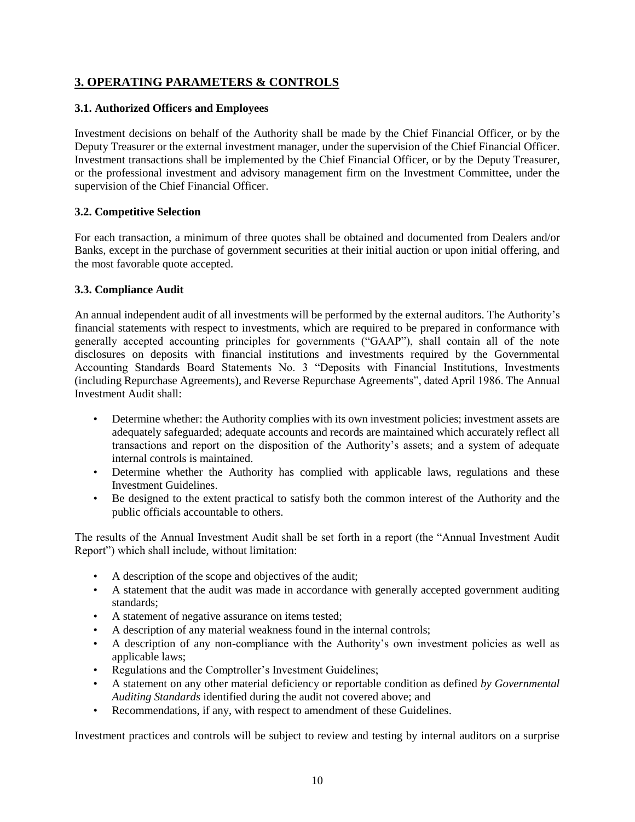# <span id="page-13-0"></span>**3. OPERATING PARAMETERS & CONTROLS**

## <span id="page-13-1"></span>**3.1. Authorized Officers and Employees**

Investment decisions on behalf of the Authority shall be made by the Chief Financial Officer, or by the Deputy Treasurer or the external investment manager, under the supervision of the Chief Financial Officer. Investment transactions shall be implemented by the Chief Financial Officer, or by the Deputy Treasurer, or the professional investment and advisory management firm on the Investment Committee, under the supervision of the Chief Financial Officer.

## <span id="page-13-2"></span>**3.2. Competitive Selection**

For each transaction, a minimum of three quotes shall be obtained and documented from Dealers and/or Banks, except in the purchase of government securities at their initial auction or upon initial offering, and the most favorable quote accepted.

## <span id="page-13-3"></span>**3.3. Compliance Audit**

An annual independent audit of all investments will be performed by the external auditors. The Authority's financial statements with respect to investments, which are required to be prepared in conformance with generally accepted accounting principles for governments ("GAAP"), shall contain all of the note disclosures on deposits with financial institutions and investments required by the Governmental Accounting Standards Board Statements No. 3 "Deposits with Financial Institutions, Investments (including Repurchase Agreements), and Reverse Repurchase Agreements", dated April 1986. The Annual Investment Audit shall:

- Determine whether: the Authority complies with its own investment policies; investment assets are adequately safeguarded; adequate accounts and records are maintained which accurately reflect all transactions and report on the disposition of the Authority's assets; and a system of adequate internal controls is maintained.
- Determine whether the Authority has complied with applicable laws, regulations and these Investment Guidelines.
- Be designed to the extent practical to satisfy both the common interest of the Authority and the public officials accountable to others.

The results of the Annual Investment Audit shall be set forth in a report (the "Annual Investment Audit Report") which shall include, without limitation:

- A description of the scope and objectives of the audit;
- A statement that the audit was made in accordance with generally accepted government auditing standards;
- A statement of negative assurance on items tested;
- A description of any material weakness found in the internal controls;
- A description of any non-compliance with the Authority's own investment policies as well as applicable laws;
- Regulations and the Comptroller's Investment Guidelines;
- A statement on any other material deficiency or reportable condition as defined *by Governmental Auditing Standards* identified during the audit not covered above; and
- Recommendations, if any, with respect to amendment of these Guidelines.

Investment practices and controls will be subject to review and testing by internal auditors on a surprise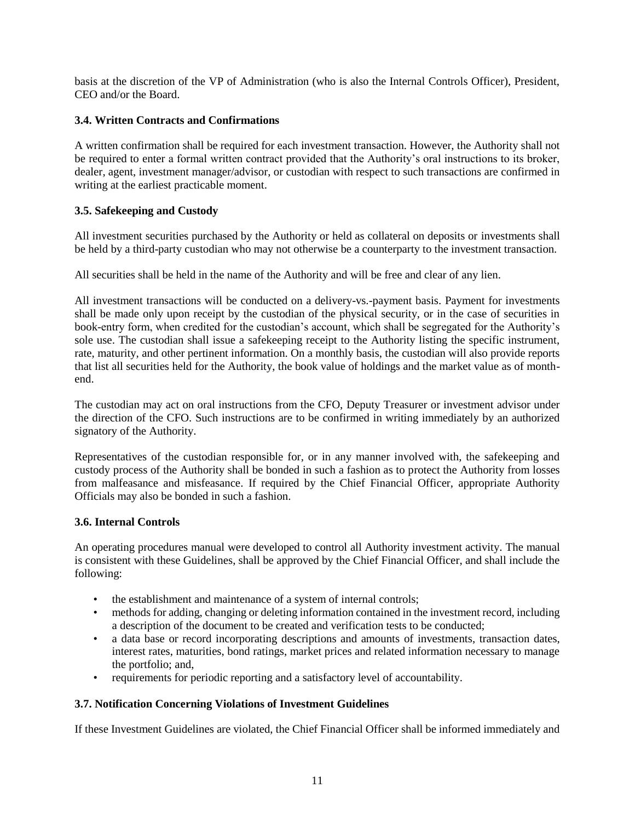basis at the discretion of the VP of Administration (who is also the Internal Controls Officer), President, CEO and/or the Board.

## <span id="page-14-0"></span>**3.4. Written Contracts and Confirmations**

A written confirmation shall be required for each investment transaction. However, the Authority shall not be required to enter a formal written contract provided that the Authority's oral instructions to its broker, dealer, agent, investment manager/advisor, or custodian with respect to such transactions are confirmed in writing at the earliest practicable moment.

## <span id="page-14-1"></span>**3.5. Safekeeping and Custody**

All investment securities purchased by the Authority or held as collateral on deposits or investments shall be held by a third-party custodian who may not otherwise be a counterparty to the investment transaction.

All securities shall be held in the name of the Authority and will be free and clear of any lien.

All investment transactions will be conducted on a delivery-vs.-payment basis. Payment for investments shall be made only upon receipt by the custodian of the physical security, or in the case of securities in book-entry form, when credited for the custodian's account, which shall be segregated for the Authority's sole use. The custodian shall issue a safekeeping receipt to the Authority listing the specific instrument, rate, maturity, and other pertinent information. On a monthly basis, the custodian will also provide reports that list all securities held for the Authority, the book value of holdings and the market value as of monthend.

The custodian may act on oral instructions from the CFO, Deputy Treasurer or investment advisor under the direction of the CFO. Such instructions are to be confirmed in writing immediately by an authorized signatory of the Authority.

Representatives of the custodian responsible for, or in any manner involved with, the safekeeping and custody process of the Authority shall be bonded in such a fashion as to protect the Authority from losses from malfeasance and misfeasance. If required by the Chief Financial Officer, appropriate Authority Officials may also be bonded in such a fashion.

## <span id="page-14-2"></span>**3.6. Internal Controls**

An operating procedures manual were developed to control all Authority investment activity. The manual is consistent with these Guidelines, shall be approved by the Chief Financial Officer, and shall include the following:

- the establishment and maintenance of a system of internal controls;
- methods for adding, changing or deleting information contained in the investment record, including a description of the document to be created and verification tests to be conducted;
- a data base or record incorporating descriptions and amounts of investments, transaction dates, interest rates, maturities, bond ratings, market prices and related information necessary to manage the portfolio; and,
- requirements for periodic reporting and a satisfactory level of accountability.

## <span id="page-14-3"></span>**3.7. Notification Concerning Violations of Investment Guidelines**

If these Investment Guidelines are violated, the Chief Financial Officer shall be informed immediately and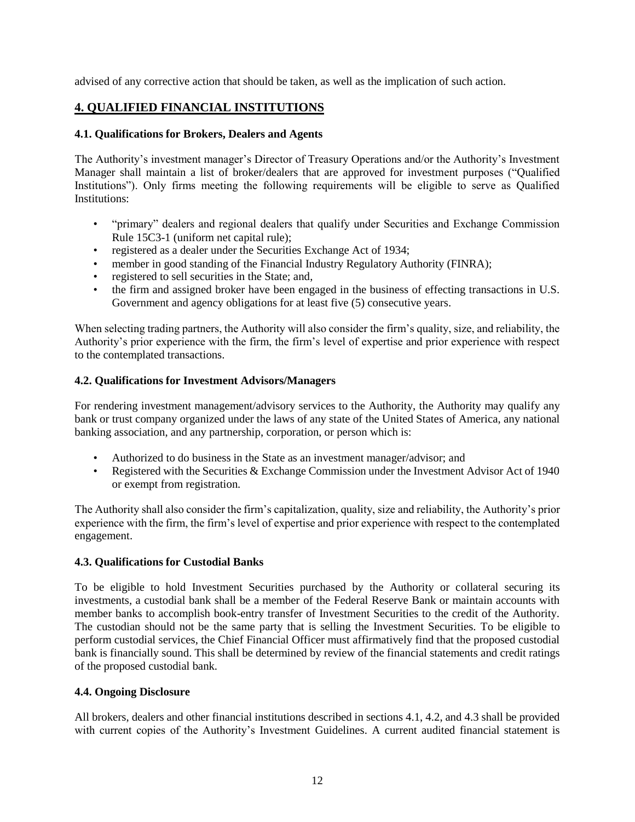advised of any corrective action that should be taken, as well as the implication of such action.

# <span id="page-15-0"></span>**4. QUALIFIED FINANCIAL INSTITUTIONS**

## <span id="page-15-1"></span>**4.1. Qualifications for Brokers, Dealers and Agents**

The Authority's investment manager's Director of Treasury Operations and/or the Authority's Investment Manager shall maintain a list of broker/dealers that are approved for investment purposes ("Qualified Institutions"). Only firms meeting the following requirements will be eligible to serve as Qualified Institutions:

- "primary" dealers and regional dealers that qualify under Securities and Exchange Commission Rule 15C3-1 (uniform net capital rule);
- registered as a dealer under the Securities Exchange Act of 1934;
- member in good standing of the Financial Industry Regulatory Authority (FINRA);
- registered to sell securities in the State; and,
- the firm and assigned broker have been engaged in the business of effecting transactions in U.S. Government and agency obligations for at least five (5) consecutive years.

When selecting trading partners, the Authority will also consider the firm's quality, size, and reliability, the Authority's prior experience with the firm, the firm's level of expertise and prior experience with respect to the contemplated transactions.

## <span id="page-15-2"></span>**4.2. Qualifications for Investment Advisors/Managers**

For rendering investment management/advisory services to the Authority, the Authority may qualify any bank or trust company organized under the laws of any state of the United States of America, any national banking association, and any partnership, corporation, or person which is:

- Authorized to do business in the State as an investment manager/advisor; and
- Registered with the Securities & Exchange Commission under the Investment Advisor Act of 1940 or exempt from registration.

The Authority shall also consider the firm's capitalization, quality, size and reliability, the Authority's prior experience with the firm, the firm's level of expertise and prior experience with respect to the contemplated engagement.

## <span id="page-15-3"></span>**4.3. Qualifications for Custodial Banks**

To be eligible to hold Investment Securities purchased by the Authority or collateral securing its investments, a custodial bank shall be a member of the Federal Reserve Bank or maintain accounts with member banks to accomplish book-entry transfer of Investment Securities to the credit of the Authority. The custodian should not be the same party that is selling the Investment Securities. To be eligible to perform custodial services, the Chief Financial Officer must affirmatively find that the proposed custodial bank is financially sound. This shall be determined by review of the financial statements and credit ratings of the proposed custodial bank.

#### <span id="page-15-4"></span>**4.4. Ongoing Disclosure**

All brokers, dealers and other financial institutions described in sections 4.1, 4.2, and 4.3 shall be provided with current copies of the Authority's Investment Guidelines. A current audited financial statement is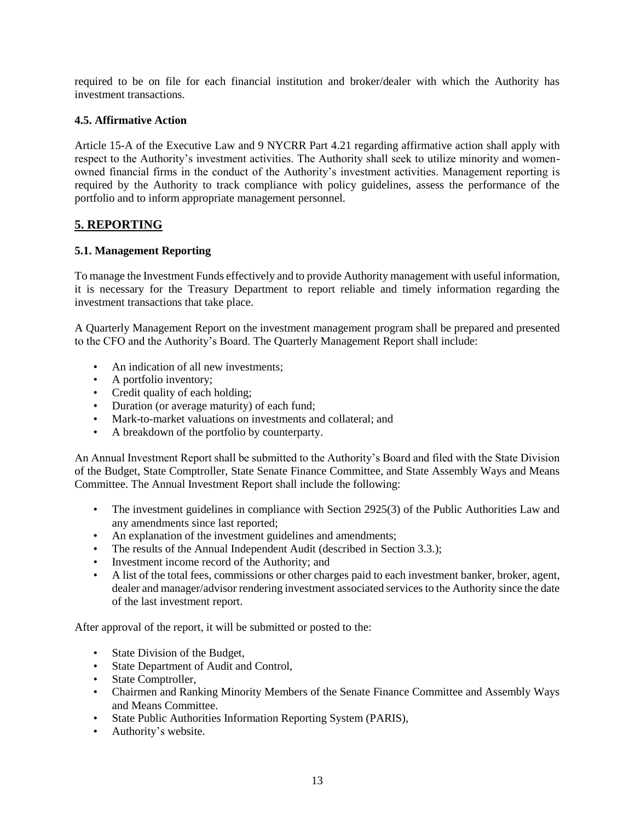required to be on file for each financial institution and broker/dealer with which the Authority has investment transactions.

## <span id="page-16-0"></span>**4.5. Affirmative Action**

Article 15-A of the Executive Law and 9 NYCRR Part 4.21 regarding affirmative action shall apply with respect to the Authority's investment activities. The Authority shall seek to utilize minority and womenowned financial firms in the conduct of the Authority's investment activities. Management reporting is required by the Authority to track compliance with policy guidelines, assess the performance of the portfolio and to inform appropriate management personnel.

## <span id="page-16-1"></span>**5. REPORTING**

#### <span id="page-16-2"></span>**5.1. Management Reporting**

To manage the Investment Funds effectively and to provide Authority management with useful information, it is necessary for the Treasury Department to report reliable and timely information regarding the investment transactions that take place.

A Quarterly Management Report on the investment management program shall be prepared and presented to the CFO and the Authority's Board. The Quarterly Management Report shall include:

- An indication of all new investments;
- A portfolio inventory;
- Credit quality of each holding;
- Duration (or average maturity) of each fund;
- Mark-to-market valuations on investments and collateral: and
- A breakdown of the portfolio by counterparty.

An Annual Investment Report shall be submitted to the Authority's Board and filed with the State Division of the Budget, State Comptroller, State Senate Finance Committee, and State Assembly Ways and Means Committee. The Annual Investment Report shall include the following:

- The investment guidelines in compliance with Section 2925(3) of the Public Authorities Law and any amendments since last reported;
- An explanation of the investment guidelines and amendments;
- The results of the Annual Independent Audit (described in Section 3.3.);
- Investment income record of the Authority; and
- A list of the total fees, commissions or other charges paid to each investment banker, broker, agent, dealer and manager/advisor rendering investment associated services to the Authority since the date of the last investment report.

After approval of the report, it will be submitted or posted to the:

- State Division of the Budget,
- State Department of Audit and Control,
- State Comptroller,
- Chairmen and Ranking Minority Members of the Senate Finance Committee and Assembly Ways and Means Committee.
- State Public Authorities Information Reporting System (PARIS),
- Authority's website.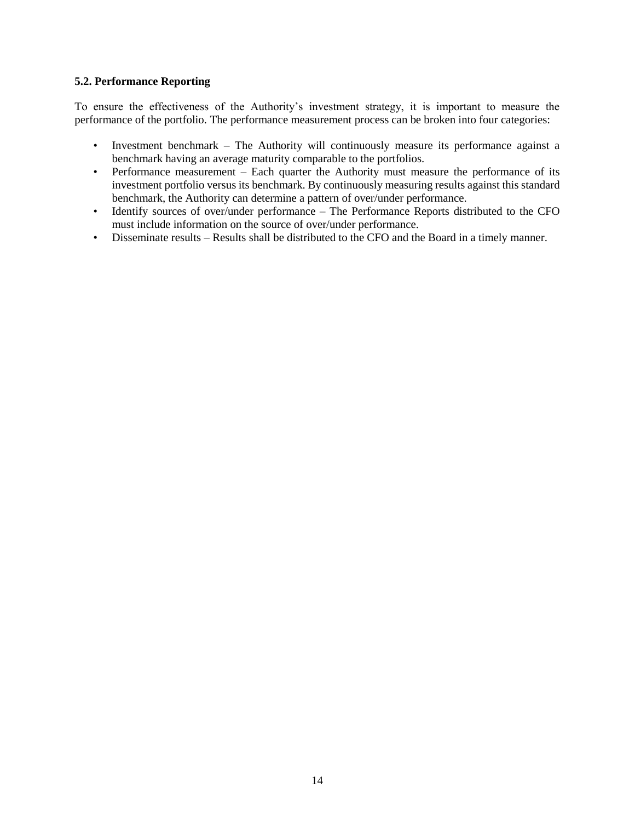#### <span id="page-17-0"></span>**5.2. Performance Reporting**

To ensure the effectiveness of the Authority's investment strategy, it is important to measure the performance of the portfolio. The performance measurement process can be broken into four categories:

- Investment benchmark The Authority will continuously measure its performance against a benchmark having an average maturity comparable to the portfolios.
- Performance measurement Each quarter the Authority must measure the performance of its investment portfolio versus its benchmark. By continuously measuring results against this standard benchmark, the Authority can determine a pattern of over/under performance.
- Identify sources of over/under performance The Performance Reports distributed to the CFO must include information on the source of over/under performance.
- Disseminate results Results shall be distributed to the CFO and the Board in a timely manner.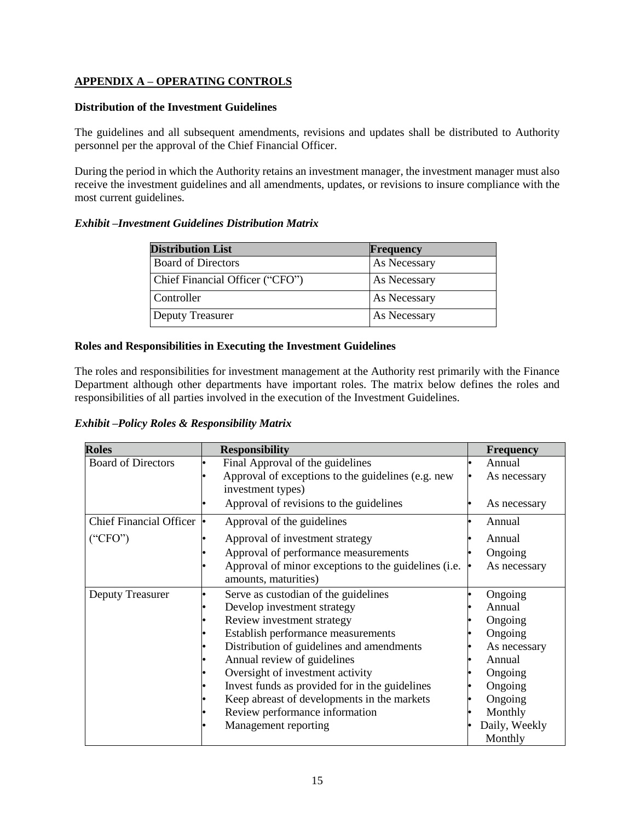## **APPENDIX A – OPERATING CONTROLS**

#### **Distribution of the Investment Guidelines**

The guidelines and all subsequent amendments, revisions and updates shall be distributed to Authority personnel per the approval of the Chief Financial Officer.

During the period in which the Authority retains an investment manager, the investment manager must also receive the investment guidelines and all amendments, updates, or revisions to insure compliance with the most current guidelines.

## *Exhibit –Investment Guidelines Distribution Matrix*

| <b>Distribution List</b>        | Frequency    |
|---------------------------------|--------------|
| <b>Board of Directors</b>       | As Necessary |
| Chief Financial Officer ("CFO") | As Necessary |
| Controller                      | As Necessary |
| Deputy Treasurer                | As Necessary |

## **Roles and Responsibilities in Executing the Investment Guidelines**

The roles and responsibilities for investment management at the Authority rest primarily with the Finance Department although other departments have important roles. The matrix below defines the roles and responsibilities of all parties involved in the execution of the Investment Guidelines.

*Exhibit –Policy Roles & Responsibility Matrix* 

| <b>Roles</b>              | <b>Responsibility</b>                                | <b>Frequency</b> |
|---------------------------|------------------------------------------------------|------------------|
| <b>Board of Directors</b> | Final Approval of the guidelines                     | Annual           |
|                           | Approval of exceptions to the guidelines (e.g. new   | As necessary     |
|                           | investment types)                                    |                  |
|                           | Approval of revisions to the guidelines              | As necessary     |
| Chief Financial Officer • | Approval of the guidelines                           | Annual           |
| ("CFO")                   | Approval of investment strategy                      | Annual           |
|                           | Approval of performance measurements                 | Ongoing          |
|                           | Approval of minor exceptions to the guidelines (i.e. | As necessary     |
|                           | amounts, maturities)                                 |                  |
| <b>Deputy Treasurer</b>   | Serve as custodian of the guidelines                 | Ongoing          |
|                           | Develop investment strategy                          | Annual           |
|                           | Review investment strategy                           | Ongoing          |
|                           | Establish performance measurements                   | Ongoing          |
|                           | Distribution of guidelines and amendments            | As necessary     |
|                           | Annual review of guidelines                          | Annual           |
|                           | Oversight of investment activity                     | Ongoing          |
|                           | Invest funds as provided for in the guidelines       | Ongoing          |
|                           | Keep abreast of developments in the markets          | Ongoing          |
|                           | Review performance information                       | Monthly          |
|                           | Management reporting                                 | Daily, Weekly    |
|                           |                                                      | Monthly          |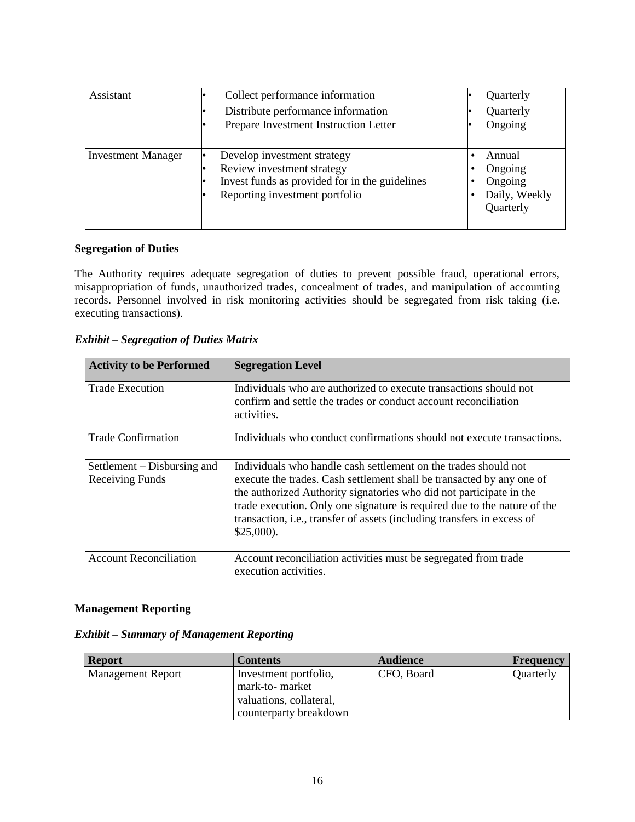| Assistant                 | Collect performance information<br>Distribute performance information<br>Prepare Investment Instruction Letter                                |   | Quarterly<br>Quarterly<br>Ongoing                          |
|---------------------------|-----------------------------------------------------------------------------------------------------------------------------------------------|---|------------------------------------------------------------|
| <b>Investment Manager</b> | Develop investment strategy<br>Review investment strategy<br>Invest funds as provided for in the guidelines<br>Reporting investment portfolio | ٠ | Annual<br>Ongoing<br>Ongoing<br>Daily, Weekly<br>Quarterly |

## **Segregation of Duties**

The Authority requires adequate segregation of duties to prevent possible fraud, operational errors, misappropriation of funds, unauthorized trades, concealment of trades, and manipulation of accounting records. Personnel involved in risk monitoring activities should be segregated from risk taking (i.e. executing transactions).

| <b>Exhibit – Segregation of Duties Matrix</b> |  |
|-----------------------------------------------|--|
|-----------------------------------------------|--|

| <b>Activity to be Performed</b>                | <b>Segregation Level</b>                                                                                                                                                                                                                                                                                                                                                               |
|------------------------------------------------|----------------------------------------------------------------------------------------------------------------------------------------------------------------------------------------------------------------------------------------------------------------------------------------------------------------------------------------------------------------------------------------|
| <b>Trade Execution</b>                         | Individuals who are authorized to execute transactions should not<br>confirm and settle the trades or conduct account reconciliation<br>activities.                                                                                                                                                                                                                                    |
| <b>Trade Confirmation</b>                      | Individuals who conduct confirmations should not execute transactions.                                                                                                                                                                                                                                                                                                                 |
| Settlement – Disbursing and<br>Receiving Funds | Individuals who handle cash settlement on the trades should not<br>execute the trades. Cash settlement shall be transacted by any one of<br>the authorized Authority signatories who did not participate in the<br>trade execution. Only one signature is required due to the nature of the<br>transaction, i.e., transfer of assets (including transfers in excess of<br>$$25,000$ ). |
| <b>Account Reconciliation</b>                  | Account reconciliation activities must be segregated from trade<br>execution activities.                                                                                                                                                                                                                                                                                               |

#### **Management Reporting**

| <b>Exhibit - Summary of Management Reporting</b> |  |  |  |
|--------------------------------------------------|--|--|--|
|--------------------------------------------------|--|--|--|

| <b>Report</b>            | <b>Contents</b>         | <b>Audience</b> | <b>Frequency</b> |
|--------------------------|-------------------------|-----------------|------------------|
| <b>Management Report</b> | Investment portfolio,   | CFO, Board      | Quarterly        |
|                          | mark-to- market         |                 |                  |
|                          | valuations, collateral, |                 |                  |
|                          | counterparty breakdown  |                 |                  |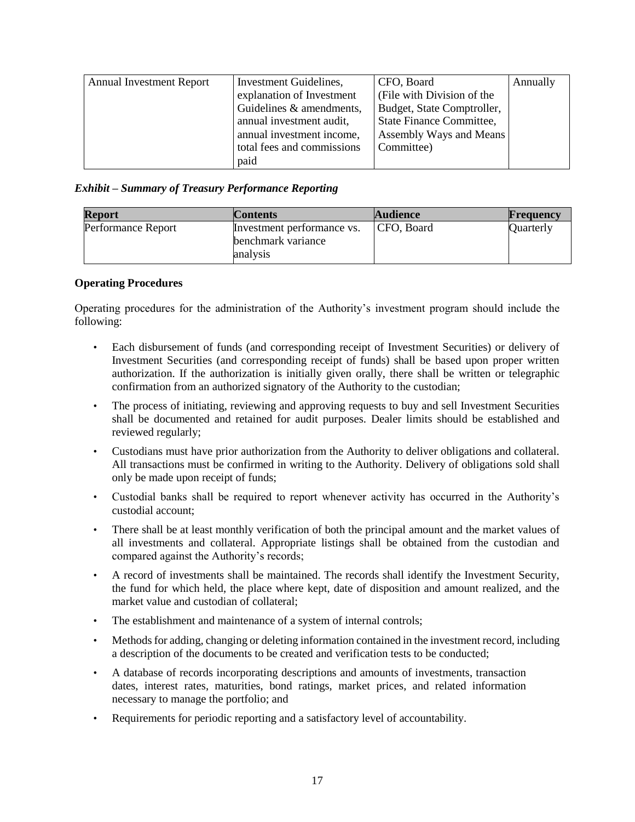| <b>Annual Investment Report</b> | Investment Guidelines,     | CFO, Board                 | Annually |
|---------------------------------|----------------------------|----------------------------|----------|
|                                 | explanation of Investment  | (File with Division of the |          |
|                                 | Guidelines & amendments,   | Budget, State Comptroller, |          |
|                                 | annual investment audit,   | State Finance Committee,   |          |
|                                 | annual investment income,  | Assembly Ways and Means    |          |
|                                 | total fees and commissions | Committee)                 |          |
|                                 | paid                       |                            |          |

## *Exhibit – Summary of Treasury Performance Reporting*

| <b>Report</b>      | <b>Contents</b>                | <b>Audience</b> | Frequency        |
|--------------------|--------------------------------|-----------------|------------------|
| Performance Report | Investment performance vs.     | CFO, Board      | <b>Quarterly</b> |
|                    | benchmark variance<br>analysis |                 |                  |
|                    |                                |                 |                  |

#### **Operating Procedures**

Operating procedures for the administration of the Authority's investment program should include the following:

- Each disbursement of funds (and corresponding receipt of Investment Securities) or delivery of Investment Securities (and corresponding receipt of funds) shall be based upon proper written authorization. If the authorization is initially given orally, there shall be written or telegraphic confirmation from an authorized signatory of the Authority to the custodian;
- The process of initiating, reviewing and approving requests to buy and sell Investment Securities shall be documented and retained for audit purposes. Dealer limits should be established and reviewed regularly;
- Custodians must have prior authorization from the Authority to deliver obligations and collateral. All transactions must be confirmed in writing to the Authority. Delivery of obligations sold shall only be made upon receipt of funds;
- Custodial banks shall be required to report whenever activity has occurred in the Authority's custodial account;
- There shall be at least monthly verification of both the principal amount and the market values of all investments and collateral. Appropriate listings shall be obtained from the custodian and compared against the Authority's records;
- A record of investments shall be maintained. The records shall identify the Investment Security, the fund for which held, the place where kept, date of disposition and amount realized, and the market value and custodian of collateral;
- The establishment and maintenance of a system of internal controls;
- Methods for adding, changing or deleting information contained in the investment record, including a description of the documents to be created and verification tests to be conducted;
- A database of records incorporating descriptions and amounts of investments, transaction dates, interest rates, maturities, bond ratings, market prices, and related information necessary to manage the portfolio; and
- Requirements for periodic reporting and a satisfactory level of accountability.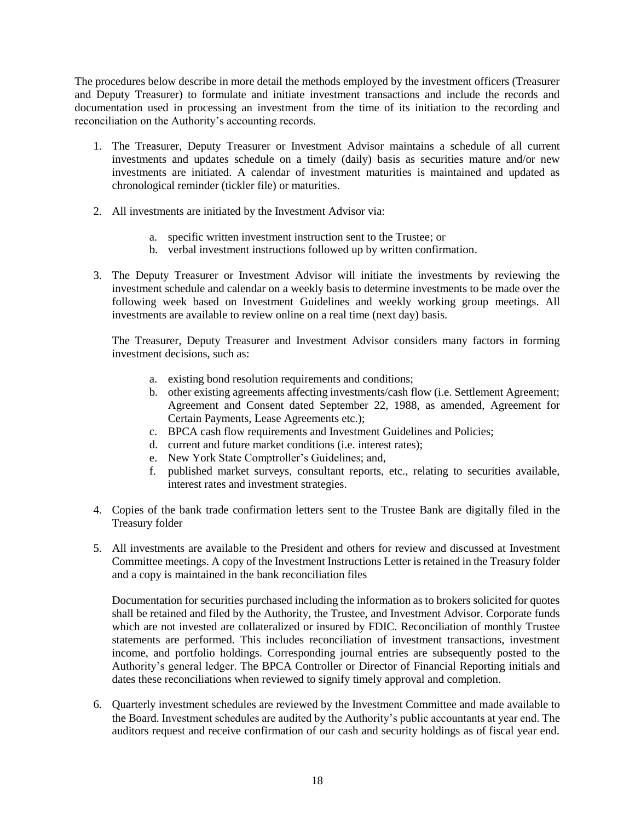The procedures below describe in more detail the methods employed by the investment officers (Treasurer and Deputy Treasurer) to formulate and initiate investment transactions and include the records and documentation used in processing an investment from the time of its initiation to the recording and reconciliation on the Authority's accounting records.

- 1. The Treasurer, Deputy Treasurer or Investment Advisor maintains a schedule of all current investments and updates schedule on a timely (daily) basis as securities mature and/or new investments are initiated. A calendar of investment maturities is maintained and updated as chronological reminder (tickler file) or maturities.
- 2. All investments are initiated by the Investment Advisor via:
	- a. specific written investment instruction sent to the Trustee; or
	- b. verbal investment instructions followed up by written confirmation.
- 3. The Deputy Treasurer or Investment Advisor will initiate the investments by reviewing the investment schedule and calendar on a weekly basis to determine investments to be made over the following week based on Investment Guidelines and weekly working group meetings. All investments are available to review online on a real time (next day) basis.

The Treasurer, Deputy Treasurer and Investment Advisor considers many factors in forming investment decisions, such as:

- a. existing bond resolution requirements and conditions;
- b. other existing agreements affecting investments/cash flow (i.e. Settlement Agreement; Agreement and Consent dated September 22, 1988, as amended, Agreement for Certain Payments, Lease Agreements etc.);
- c. BPCA cash flow requirements and Investment Guidelines and Policies;
- d. current and future market conditions (i.e. interest rates);
- e. New York State Comptroller's Guidelines; and,
- f. published market surveys, consultant reports, etc., relating to securities available, interest rates and investment strategies.
- 4. Copies of the bank trade confirmation letters sent to the Trustee Bank are digitally filed in the Treasury folder
- 5. All investments are available to the President and others for review and discussed at Investment Committee meetings. A copy of the Investment Instructions Letter is retained in the Treasury folder and a copy is maintained in the bank reconciliation files

Documentation for securities purchased including the information as to brokers solicited for quotes shall be retained and filed by the Authority, the Trustee, and Investment Advisor. Corporate funds which are not invested are collateralized or insured by FDIC. Reconciliation of monthly Trustee statements are performed. This includes reconciliation of investment transactions, investment income, and portfolio holdings. Corresponding journal entries are subsequently posted to the Authority's general ledger. The BPCA Controller or Director of Financial Reporting initials and dates these reconciliations when reviewed to signify timely approval and completion.

6. Quarterly investment schedules are reviewed by the Investment Committee and made available to the Board. Investment schedules are audited by the Authority's public accountants at year end. The auditors request and receive confirmation of our cash and security holdings as of fiscal year end.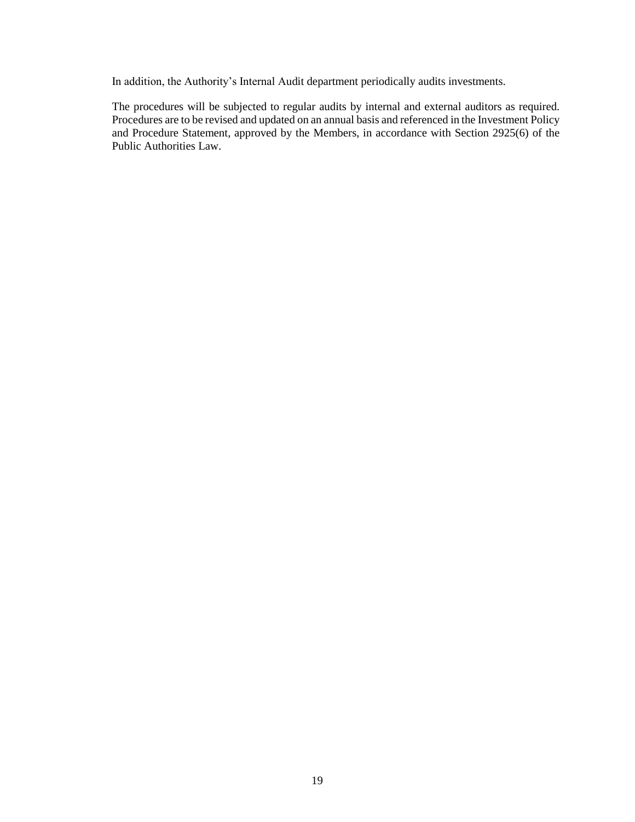In addition, the Authority's Internal Audit department periodically audits investments.

The procedures will be subjected to regular audits by internal and external auditors as required. Procedures are to be revised and updated on an annual basis and referenced in the Investment Policy and Procedure Statement, approved by the Members, in accordance with Section 2925(6) of the Public Authorities Law.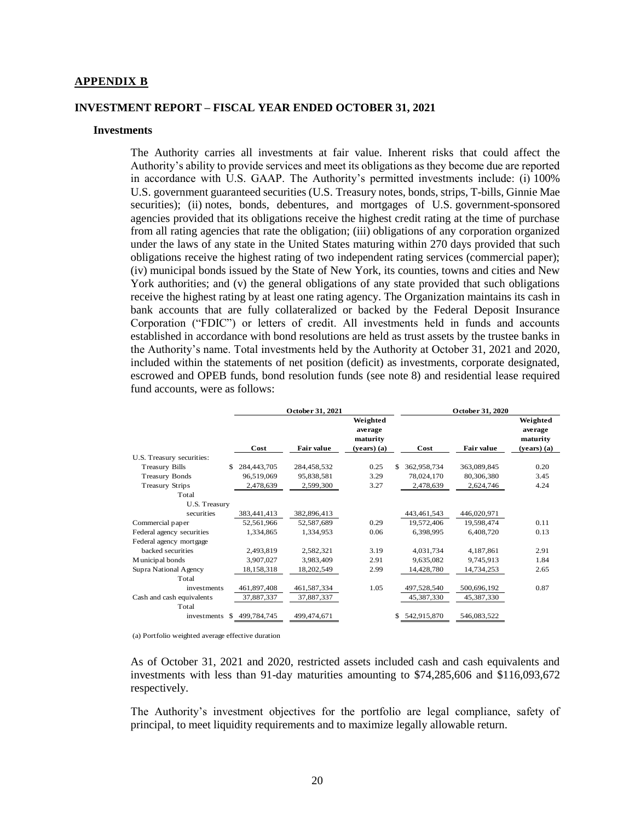#### **APPENDIX B**

#### **INVESTMENT REPORT – FISCAL YEAR ENDED OCTOBER 31, 2021**

#### **Investments**

The Authority carries all investments at fair value. Inherent risks that could affect the Authority's ability to provide services and meet its obligations as they become due are reported in accordance with U.S. GAAP. The Authority's permitted investments include: (i) 100% U.S. government guaranteed securities (U.S. Treasury notes, bonds, strips, T-bills, Ginnie Mae securities); (ii) notes, bonds, debentures, and mortgages of U.S. government-sponsored agencies provided that its obligations receive the highest credit rating at the time of purchase from all rating agencies that rate the obligation; (iii) obligations of any corporation organized under the laws of any state in the United States maturing within 270 days provided that such obligations receive the highest rating of two independent rating services (commercial paper); (iv) municipal bonds issued by the State of New York, its counties, towns and cities and New York authorities; and (v) the general obligations of any state provided that such obligations receive the highest rating by at least one rating agency. The Organization maintains its cash in bank accounts that are fully collateralized or backed by the Federal Deposit Insurance Corporation ("FDIC") or letters of credit. All investments held in funds and accounts established in accordance with bond resolutions are held as trust assets by the trustee banks in the Authority's name. Total investments held by the Authority at October 31, 2021 and 2020, included within the statements of net position (deficit) as investments, corporate designated, escrowed and OPEB funds, bond resolution funds (see note 8) and residential lease required fund accounts, were as follows:

|                           | October 31, 2021   |             |                                 | October 31, 2020  |                   |                                 |
|---------------------------|--------------------|-------------|---------------------------------|-------------------|-------------------|---------------------------------|
|                           |                    |             | Weighted<br>average<br>maturity |                   |                   | Weighted<br>average<br>maturity |
|                           | Cost               | Fair value  | $(years)$ (a)                   | Cost              | <b>Fair value</b> | $(years)$ (a)                   |
| U.S. Treasury securities: |                    |             |                                 |                   |                   |                                 |
| <b>Treasury Bills</b>     | 284,443,705<br>\$. | 284,458,532 | 0.25                            | \$<br>362,958,734 | 363,089,845       | 0.20                            |
| <b>Treasury Bonds</b>     | 96,519,069         | 95,838,581  | 3.29                            | 78,024,170        | 80,306,380        | 3.45                            |
| <b>Treasury Strips</b>    | 2,478,639          | 2,599,300   | 3.27                            | 2,478,639         | 2,624,746         | 4.24                            |
| Total                     |                    |             |                                 |                   |                   |                                 |
| U.S. Treasury             |                    |             |                                 |                   |                   |                                 |
| securities                | 383,441,413        | 382,896,413 |                                 | 443, 461, 543     | 446,020,971       |                                 |
| Commercial paper          | 52,561,966         | 52,587,689  | 0.29                            | 19,572,406        | 19,598,474        | 0.11                            |
| Federal agency securities | 1,334,865          | 1,334,953   | 0.06                            | 6,398,995         | 6,408,720         | 0.13                            |
| Federal agency mortgage   |                    |             |                                 |                   |                   |                                 |
| backed securities         | 2,493,819          | 2,582,321   | 3.19                            | 4,031,734         | 4,187,861         | 2.91                            |
| Municipal bonds           | 3,907,027          | 3,983,409   | 2.91                            | 9,635,082         | 9,745,913         | 1.84                            |
| Supra National Agency     | 18,158,318         | 18,202,549  | 2.99                            | 14,428,780        | 14,734,253        | 2.65                            |
| Total                     |                    |             |                                 |                   |                   |                                 |
| investments               | 461,897,408        | 461,587,334 | 1.05                            | 497,528,540       | 500,696,192       | 0.87                            |
| Cash and cash equivalents | 37,887,337         | 37,887,337  |                                 | 45,387,330        | 45,387,330        |                                 |
| Total                     |                    |             |                                 |                   |                   |                                 |
| investments               | 499,784,745<br>\$. | 499,474,671 |                                 | 542,915,870<br>\$ | 546,083,522       |                                 |

(a) Portfolio weighted average effective duration

As of October 31, 2021 and 2020, restricted assets included cash and cash equivalents and investments with less than 91-day maturities amounting to \$74,285,606 and \$116,093,672 respectively.

The Authority's investment objectives for the portfolio are legal compliance, safety of principal, to meet liquidity requirements and to maximize legally allowable return.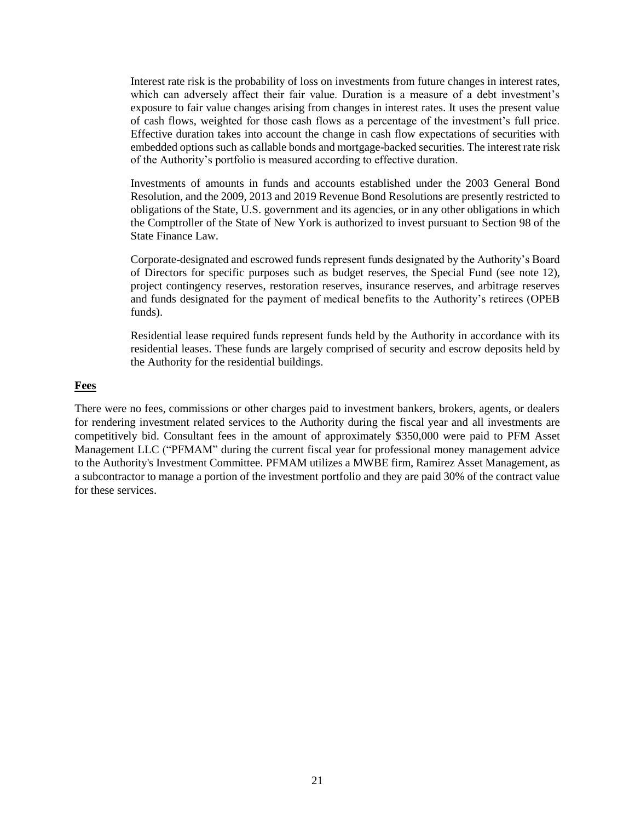Interest rate risk is the probability of loss on investments from future changes in interest rates, which can adversely affect their fair value. Duration is a measure of a debt investment's exposure to fair value changes arising from changes in interest rates. It uses the present value of cash flows, weighted for those cash flows as a percentage of the investment's full price. Effective duration takes into account the change in cash flow expectations of securities with embedded options such as callable bonds and mortgage-backed securities. The interest rate risk of the Authority's portfolio is measured according to effective duration.

Investments of amounts in funds and accounts established under the 2003 General Bond Resolution, and the 2009, 2013 and 2019 Revenue Bond Resolutions are presently restricted to obligations of the State, U.S. government and its agencies, or in any other obligations in which the Comptroller of the State of New York is authorized to invest pursuant to Section 98 of the State Finance Law.

Corporate-designated and escrowed funds represent funds designated by the Authority's Board of Directors for specific purposes such as budget reserves, the Special Fund (see note 12), project contingency reserves, restoration reserves, insurance reserves, and arbitrage reserves and funds designated for the payment of medical benefits to the Authority's retirees (OPEB funds).

Residential lease required funds represent funds held by the Authority in accordance with its residential leases. These funds are largely comprised of security and escrow deposits held by the Authority for the residential buildings.

#### **Fees**

There were no fees, commissions or other charges paid to investment bankers, brokers, agents, or dealers for rendering investment related services to the Authority during the fiscal year and all investments are competitively bid. Consultant fees in the amount of approximately \$350,000 were paid to PFM Asset Management LLC ("PFMAM" during the current fiscal year for professional money management advice to the Authority's Investment Committee. PFMAM utilizes a MWBE firm, Ramirez Asset Management, as a subcontractor to manage a portion of the investment portfolio and they are paid 30% of the contract value for these services.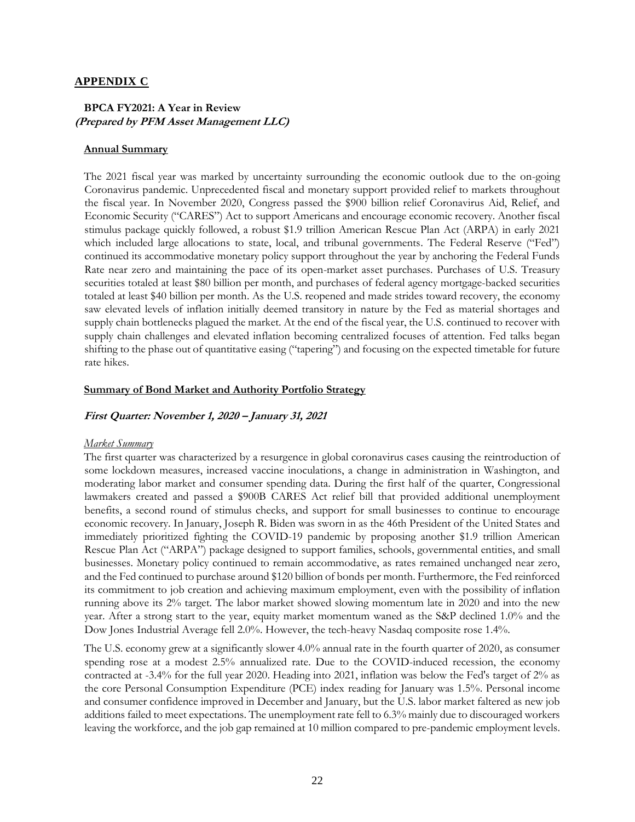#### **APPENDIX C**

## **BPCA FY2021: A Year in Review (Prepared by PFM Asset Management LLC)**

#### **Annual Summary**

The 2021 fiscal year was marked by uncertainty surrounding the economic outlook due to the on-going Coronavirus pandemic. Unprecedented fiscal and monetary support provided relief to markets throughout the fiscal year. In November 2020, Congress passed the \$900 billion relief Coronavirus Aid, Relief, and Economic Security ("CARES") Act to support Americans and encourage economic recovery. Another fiscal stimulus package quickly followed, a robust \$1.9 trillion American Rescue Plan Act (ARPA) in early 2021 which included large allocations to state, local, and tribunal governments. The Federal Reserve ("Fed") continued its accommodative monetary policy support throughout the year by anchoring the Federal Funds Rate near zero and maintaining the pace of its open-market asset purchases. Purchases of U.S. Treasury securities totaled at least \$80 billion per month, and purchases of federal agency mortgage-backed securities totaled at least \$40 billion per month. As the U.S. reopened and made strides toward recovery, the economy saw elevated levels of inflation initially deemed transitory in nature by the Fed as material shortages and supply chain bottlenecks plagued the market. At the end of the fiscal year, the U.S. continued to recover with supply chain challenges and elevated inflation becoming centralized focuses of attention. Fed talks began shifting to the phase out of quantitative easing ("tapering") and focusing on the expected timetable for future rate hikes.

#### **Summary of Bond Market and Authority Portfolio Strategy**

#### **First Quarter: November 1, 2020 – January 31, 2021**

#### *Market Summary*

The first quarter was characterized by a resurgence in global coronavirus cases causing the reintroduction of some lockdown measures, increased vaccine inoculations, a change in administration in Washington, and moderating labor market and consumer spending data. During the first half of the quarter, Congressional lawmakers created and passed a \$900B CARES Act relief bill that provided additional unemployment benefits, a second round of stimulus checks, and support for small businesses to continue to encourage economic recovery. In January, Joseph R. Biden was sworn in as the 46th President of the United States and immediately prioritized fighting the COVID-19 pandemic by proposing another \$1.9 trillion American Rescue Plan Act ("ARPA") package designed to support families, schools, governmental entities, and small businesses. Monetary policy continued to remain accommodative, as rates remained unchanged near zero, and the Fed continued to purchase around \$120 billion of bonds per month. Furthermore, the Fed reinforced its commitment to job creation and achieving maximum employment, even with the possibility of inflation running above its 2% target. The labor market showed slowing momentum late in 2020 and into the new year. After a strong start to the year, equity market momentum waned as the S&P declined 1.0% and the Dow Jones Industrial Average fell 2.0%. However, the tech-heavy Nasdaq composite rose 1.4%.

The U.S. economy grew at a significantly slower 4.0% annual rate in the fourth quarter of 2020, as consumer spending rose at a modest 2.5% annualized rate. Due to the COVID-induced recession, the economy contracted at -3.4% for the full year 2020. Heading into 2021, inflation was below the Fed's target of 2% as the core Personal Consumption Expenditure (PCE) index reading for January was 1.5%. Personal income and consumer confidence improved in December and January, but the U.S. labor market faltered as new job additions failed to meet expectations. The unemployment rate fell to 6.3% mainly due to discouraged workers leaving the workforce, and the job gap remained at 10 million compared to pre-pandemic employment levels.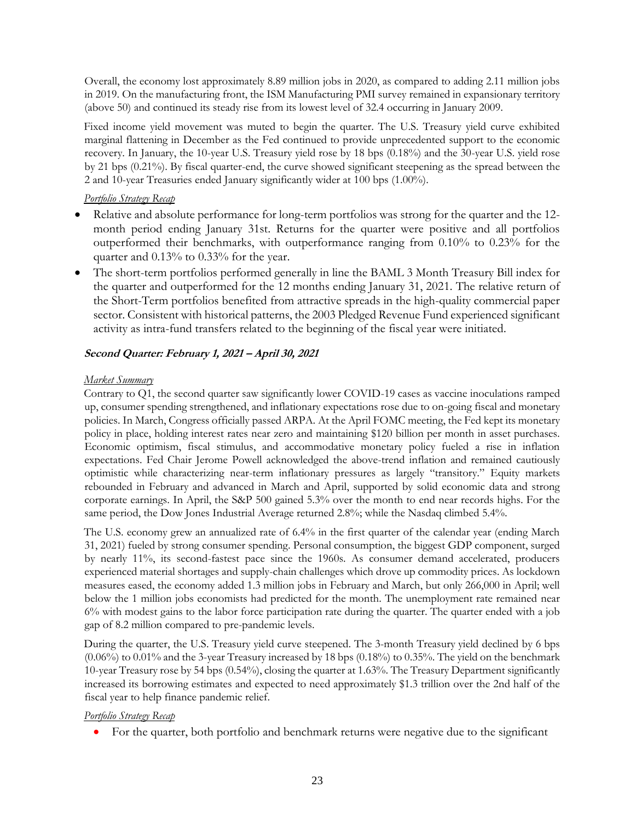Overall, the economy lost approximately 8.89 million jobs in 2020, as compared to adding 2.11 million jobs in 2019. On the manufacturing front, the ISM Manufacturing PMI survey remained in expansionary territory (above 50) and continued its steady rise from its lowest level of 32.4 occurring in January 2009.

Fixed income yield movement was muted to begin the quarter. The U.S. Treasury yield curve exhibited marginal flattening in December as the Fed continued to provide unprecedented support to the economic recovery. In January, the 10-year U.S. Treasury yield rose by 18 bps (0.18%) and the 30-year U.S. yield rose by 21 bps (0.21%). By fiscal quarter-end, the curve showed significant steepening as the spread between the 2 and 10-year Treasuries ended January significantly wider at 100 bps (1.00%).

## *Portfolio Strategy Recap*

- Relative and absolute performance for long-term portfolios was strong for the quarter and the 12 month period ending January 31st. Returns for the quarter were positive and all portfolios outperformed their benchmarks, with outperformance ranging from 0.10% to 0.23% for the quarter and 0.13% to 0.33% for the year.
- The short-term portfolios performed generally in line the BAML 3 Month Treasury Bill index for the quarter and outperformed for the 12 months ending January 31, 2021. The relative return of the Short-Term portfolios benefited from attractive spreads in the high-quality commercial paper sector. Consistent with historical patterns, the 2003 Pledged Revenue Fund experienced significant activity as intra-fund transfers related to the beginning of the fiscal year were initiated.

## **Second Quarter: February 1, 2021 – April 30, 2021**

## *Market Summary*

Contrary to Q1, the second quarter saw significantly lower COVID-19 cases as vaccine inoculations ramped up, consumer spending strengthened, and inflationary expectations rose due to on-going fiscal and monetary policies. In March, Congress officially passed ARPA. At the April FOMC meeting, the Fed kept its monetary policy in place, holding interest rates near zero and maintaining \$120 billion per month in asset purchases. Economic optimism, fiscal stimulus, and accommodative monetary policy fueled a rise in inflation expectations. Fed Chair Jerome Powell acknowledged the above-trend inflation and remained cautiously optimistic while characterizing near-term inflationary pressures as largely "transitory." Equity markets rebounded in February and advanced in March and April, supported by solid economic data and strong corporate earnings. In April, the S&P 500 gained 5.3% over the month to end near records highs. For the same period, the Dow Jones Industrial Average returned 2.8%; while the Nasdaq climbed 5.4%.

The U.S. economy grew an annualized rate of 6.4% in the first quarter of the calendar year (ending March 31, 2021) fueled by strong consumer spending. Personal consumption, the biggest GDP component, surged by nearly 11%, its second-fastest pace since the 1960s. As consumer demand accelerated, producers experienced material shortages and supply-chain challenges which drove up commodity prices. As lockdown measures eased, the economy added 1.3 million jobs in February and March, but only 266,000 in April; well below the 1 million jobs economists had predicted for the month. The unemployment rate remained near 6% with modest gains to the labor force participation rate during the quarter. The quarter ended with a job gap of 8.2 million compared to pre-pandemic levels.

During the quarter, the U.S. Treasury yield curve steepened. The 3-month Treasury yield declined by 6 bps (0.06%) to 0.01% and the 3-year Treasury increased by 18 bps (0.18%) to 0.35%. The yield on the benchmark 10-year Treasury rose by 54 bps (0.54%), closing the quarter at 1.63%. The Treasury Department significantly increased its borrowing estimates and expected to need approximately \$1.3 trillion over the 2nd half of the fiscal year to help finance pandemic relief.

## *Portfolio Strategy Recap*

For the quarter, both portfolio and benchmark returns were negative due to the significant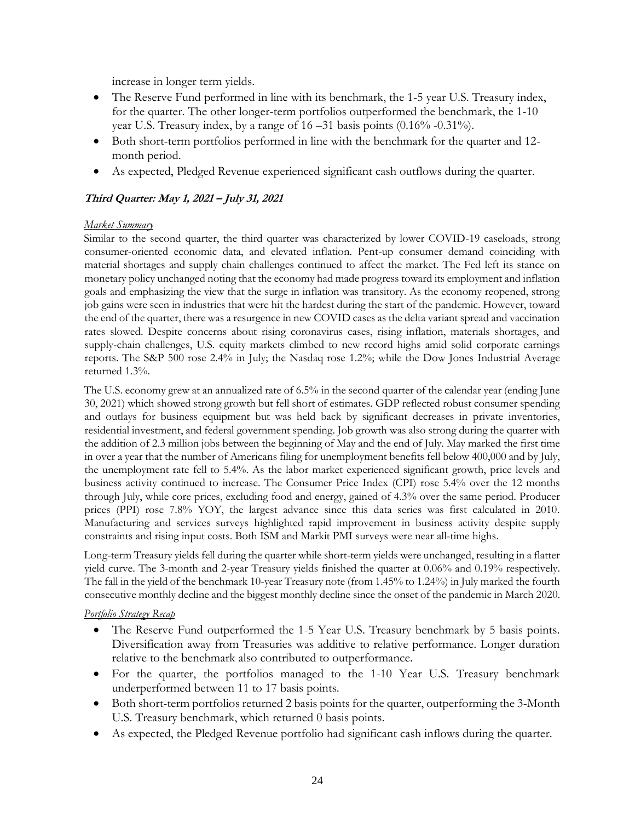increase in longer term yields.

- The Reserve Fund performed in line with its benchmark, the 1-5 year U.S. Treasury index, for the quarter. The other longer-term portfolios outperformed the benchmark, the 1-10 year U.S. Treasury index, by a range of  $16 - 31$  basis points  $(0.16\% - 0.31\%)$ .
- Both short-term portfolios performed in line with the benchmark for the quarter and 12 month period.
- As expected, Pledged Revenue experienced significant cash outflows during the quarter.

## **Third Quarter: May 1, 2021 – July 31, 2021**

## *Market Summary*

Similar to the second quarter, the third quarter was characterized by lower COVID-19 caseloads, strong consumer-oriented economic data, and elevated inflation. Pent-up consumer demand coinciding with material shortages and supply chain challenges continued to affect the market. The Fed left its stance on monetary policy unchanged noting that the economy had made progress toward its employment and inflation goals and emphasizing the view that the surge in inflation was transitory. As the economy reopened, strong job gains were seen in industries that were hit the hardest during the start of the pandemic. However, toward the end of the quarter, there was a resurgence in new COVID cases as the delta variant spread and vaccination rates slowed. Despite concerns about rising coronavirus cases, rising inflation, materials shortages, and supply-chain challenges, U.S. equity markets climbed to new record highs amid solid corporate earnings reports. The S&P 500 rose 2.4% in July; the Nasdaq rose 1.2%; while the Dow Jones Industrial Average returned 1.3%.

The U.S. economy grew at an annualized rate of 6.5% in the second quarter of the calendar year (ending June 30, 2021) which showed strong growth but fell short of estimates. GDP reflected robust consumer spending and outlays for business equipment but was held back by significant decreases in private inventories, residential investment, and federal government spending. Job growth was also strong during the quarter with the addition of 2.3 million jobs between the beginning of May and the end of July. May marked the first time in over a year that the number of Americans filing for unemployment benefits fell below 400,000 and by July, the unemployment rate fell to 5.4%. As the labor market experienced significant growth, price levels and business activity continued to increase. The Consumer Price Index (CPI) rose 5.4% over the 12 months through July, while core prices, excluding food and energy, gained of 4.3% over the same period. Producer prices (PPI) rose 7.8% YOY, the largest advance since this data series was first calculated in 2010. Manufacturing and services surveys highlighted rapid improvement in business activity despite supply constraints and rising input costs. Both ISM and Markit PMI surveys were near all-time highs.

Long-term Treasury yields fell during the quarter while short-term yields were unchanged, resulting in a flatter yield curve. The 3-month and 2-year Treasury yields finished the quarter at 0.06% and 0.19% respectively. The fall in the yield of the benchmark 10-year Treasury note (from 1.45% to 1.24%) in July marked the fourth consecutive monthly decline and the biggest monthly decline since the onset of the pandemic in March 2020.

#### *Portfolio Strategy Recap*

- The Reserve Fund outperformed the 1-5 Year U.S. Treasury benchmark by 5 basis points. Diversification away from Treasuries was additive to relative performance. Longer duration relative to the benchmark also contributed to outperformance.
- For the quarter, the portfolios managed to the 1-10 Year U.S. Treasury benchmark underperformed between 11 to 17 basis points.
- Both short-term portfolios returned 2 basis points for the quarter, outperforming the 3-Month U.S. Treasury benchmark, which returned 0 basis points.
- As expected, the Pledged Revenue portfolio had significant cash inflows during the quarter.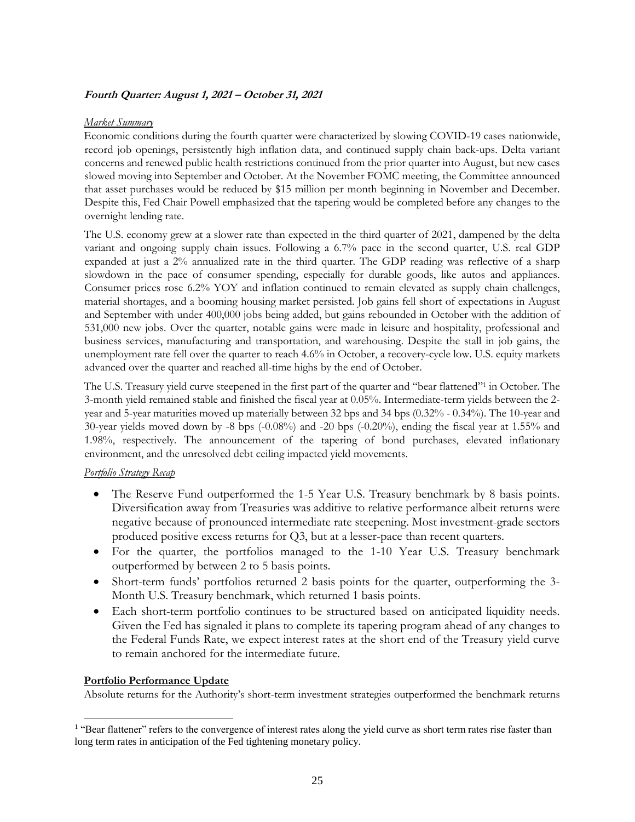## **Fourth Quarter: August 1, 2021 – October 31, 2021**

#### *Market Summary*

Economic conditions during the fourth quarter were characterized by slowing COVID-19 cases nationwide, record job openings, persistently high inflation data, and continued supply chain back-ups. Delta variant concerns and renewed public health restrictions continued from the prior quarter into August, but new cases slowed moving into September and October. At the November FOMC meeting, the Committee announced that asset purchases would be reduced by \$15 million per month beginning in November and December. Despite this, Fed Chair Powell emphasized that the tapering would be completed before any changes to the overnight lending rate.

The U.S. economy grew at a slower rate than expected in the third quarter of 2021, dampened by the delta variant and ongoing supply chain issues. Following a 6.7% pace in the second quarter, U.S. real GDP expanded at just a 2% annualized rate in the third quarter. The GDP reading was reflective of a sharp slowdown in the pace of consumer spending, especially for durable goods, like autos and appliances. Consumer prices rose 6.2% YOY and inflation continued to remain elevated as supply chain challenges, material shortages, and a booming housing market persisted. Job gains fell short of expectations in August and September with under 400,000 jobs being added, but gains rebounded in October with the addition of 531,000 new jobs. Over the quarter, notable gains were made in leisure and hospitality, professional and business services, manufacturing and transportation, and warehousing. Despite the stall in job gains, the unemployment rate fell over the quarter to reach 4.6% in October, a recovery-cycle low. U.S. equity markets advanced over the quarter and reached all-time highs by the end of October.

The U.S. Treasury yield curve steepened in the first part of the quarter and "bear flattened"<sup>1</sup> in October. The 3-month yield remained stable and finished the fiscal year at 0.05%. Intermediate-term yields between the 2 year and 5-year maturities moved up materially between 32 bps and 34 bps (0.32% - 0.34%). The 10-year and 30-year yields moved down by -8 bps (-0.08%) and -20 bps (-0.20%), ending the fiscal year at 1.55% and 1.98%, respectively. The announcement of the tapering of bond purchases, elevated inflationary environment, and the unresolved debt ceiling impacted yield movements.

#### *Portfolio Strategy Recap*

- The Reserve Fund outperformed the 1-5 Year U.S. Treasury benchmark by 8 basis points. Diversification away from Treasuries was additive to relative performance albeit returns were negative because of pronounced intermediate rate steepening. Most investment-grade sectors produced positive excess returns for Q3, but at a lesser-pace than recent quarters.
- For the quarter, the portfolios managed to the 1-10 Year U.S. Treasury benchmark outperformed by between 2 to 5 basis points.
- Short-term funds' portfolios returned 2 basis points for the quarter, outperforming the 3- Month U.S. Treasury benchmark, which returned 1 basis points.
- Each short-term portfolio continues to be structured based on anticipated liquidity needs. Given the Fed has signaled it plans to complete its tapering program ahead of any changes to the Federal Funds Rate, we expect interest rates at the short end of the Treasury yield curve to remain anchored for the intermediate future.

#### **Portfolio Performance Update**

l

Absolute returns for the Authority's short-term investment strategies outperformed the benchmark returns

<sup>&</sup>lt;sup>1</sup> "Bear flattener" refers to the convergence of interest rates along the yield curve as short term rates rise faster than long term rates in anticipation of the Fed tightening monetary policy.